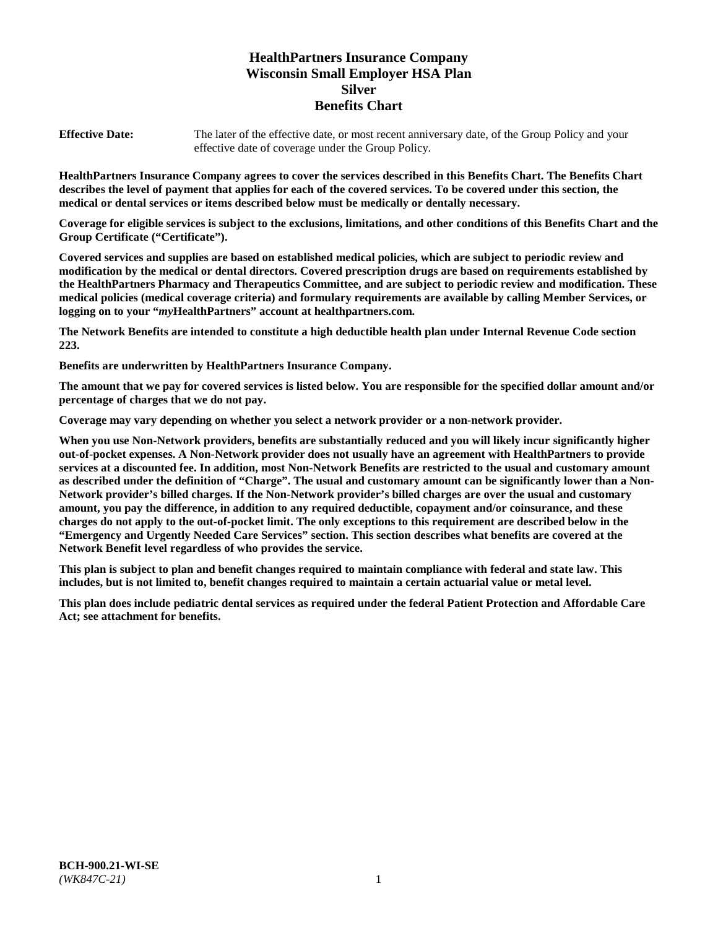# **HealthPartners Insurance Company Wisconsin Small Employer HSA Plan Silver Benefits Chart**

**Effective Date:** The later of the effective date, or most recent anniversary date, of the Group Policy and your effective date of coverage under the Group Policy.

**HealthPartners Insurance Company agrees to cover the services described in this Benefits Chart. The Benefits Chart describes the level of payment that applies for each of the covered services. To be covered under this section, the medical or dental services or items described below must be medically or dentally necessary.**

**Coverage for eligible services is subject to the exclusions, limitations, and other conditions of this Benefits Chart and the Group Certificate ("Certificate").**

**Covered services and supplies are based on established medical policies, which are subject to periodic review and modification by the medical or dental directors. Covered prescription drugs are based on requirements established by the HealthPartners Pharmacy and Therapeutics Committee, and are subject to periodic review and modification. These medical policies (medical coverage criteria) and formulary requirements are available by calling Member Services, or logging on to your "***my***HealthPartners" account at [healthpartners.com.](https://www.healthpartners.com/hp/index.html)**

**The Network Benefits are intended to constitute a high deductible health plan under Internal Revenue Code section 223.**

**Benefits are underwritten by HealthPartners Insurance Company.**

**The amount that we pay for covered services is listed below. You are responsible for the specified dollar amount and/or percentage of charges that we do not pay.**

**Coverage may vary depending on whether you select a network provider or a non-network provider.**

**When you use Non-Network providers, benefits are substantially reduced and you will likely incur significantly higher out-of-pocket expenses. A Non-Network provider does not usually have an agreement with HealthPartners to provide services at a discounted fee. In addition, most Non-Network Benefits are restricted to the usual and customary amount as described under the definition of "Charge". The usual and customary amount can be significantly lower than a Non-Network provider's billed charges. If the Non-Network provider's billed charges are over the usual and customary amount, you pay the difference, in addition to any required deductible, copayment and/or coinsurance, and these charges do not apply to the out-of-pocket limit. The only exceptions to this requirement are described below in the "Emergency and Urgently Needed Care Services" section. This section describes what benefits are covered at the Network Benefit level regardless of who provides the service.**

**This plan is subject to plan and benefit changes required to maintain compliance with federal and state law. This includes, but is not limited to, benefit changes required to maintain a certain actuarial value or metal level.**

**This plan does include pediatric dental services as required under the federal Patient Protection and Affordable Care Act; see attachment for benefits.**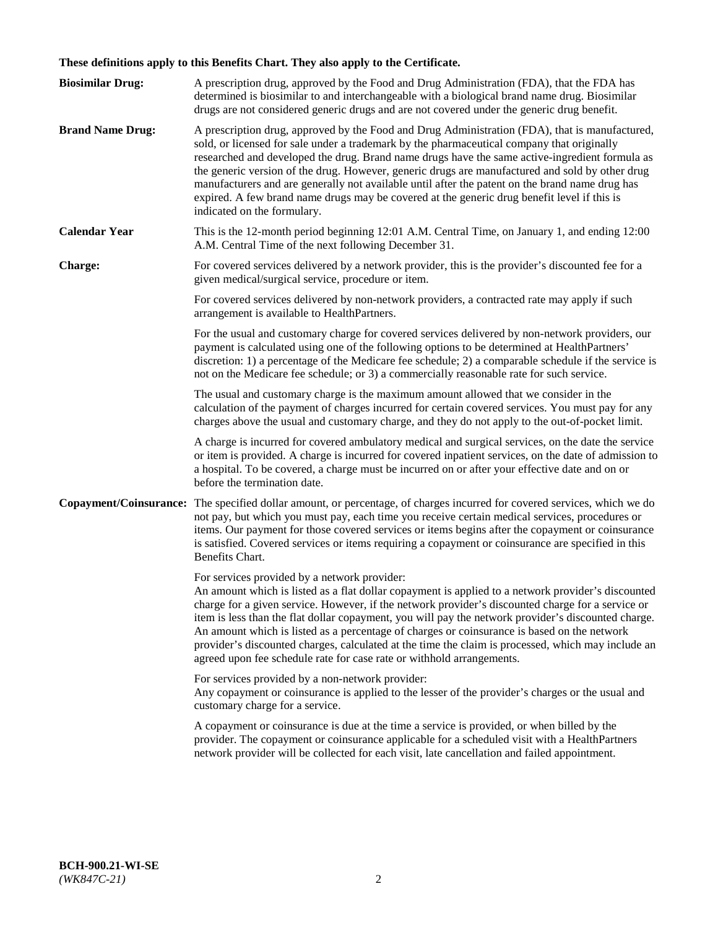# **These definitions apply to this Benefits Chart. They also apply to the Certificate.**

| <b>Biosimilar Drug:</b> | A prescription drug, approved by the Food and Drug Administration (FDA), that the FDA has<br>determined is biosimilar to and interchangeable with a biological brand name drug. Biosimilar<br>drugs are not considered generic drugs and are not covered under the generic drug benefit.                                                                                                                                                                                                                                                                                                                                                     |
|-------------------------|----------------------------------------------------------------------------------------------------------------------------------------------------------------------------------------------------------------------------------------------------------------------------------------------------------------------------------------------------------------------------------------------------------------------------------------------------------------------------------------------------------------------------------------------------------------------------------------------------------------------------------------------|
| <b>Brand Name Drug:</b> | A prescription drug, approved by the Food and Drug Administration (FDA), that is manufactured,<br>sold, or licensed for sale under a trademark by the pharmaceutical company that originally<br>researched and developed the drug. Brand name drugs have the same active-ingredient formula as<br>the generic version of the drug. However, generic drugs are manufactured and sold by other drug<br>manufacturers and are generally not available until after the patent on the brand name drug has<br>expired. A few brand name drugs may be covered at the generic drug benefit level if this is<br>indicated on the formulary.           |
| <b>Calendar Year</b>    | This is the 12-month period beginning 12:01 A.M. Central Time, on January 1, and ending 12:00<br>A.M. Central Time of the next following December 31.                                                                                                                                                                                                                                                                                                                                                                                                                                                                                        |
| <b>Charge:</b>          | For covered services delivered by a network provider, this is the provider's discounted fee for a<br>given medical/surgical service, procedure or item.                                                                                                                                                                                                                                                                                                                                                                                                                                                                                      |
|                         | For covered services delivered by non-network providers, a contracted rate may apply if such<br>arrangement is available to HealthPartners.                                                                                                                                                                                                                                                                                                                                                                                                                                                                                                  |
|                         | For the usual and customary charge for covered services delivered by non-network providers, our<br>payment is calculated using one of the following options to be determined at HealthPartners'<br>discretion: 1) a percentage of the Medicare fee schedule; 2) a comparable schedule if the service is<br>not on the Medicare fee schedule; or 3) a commercially reasonable rate for such service.                                                                                                                                                                                                                                          |
|                         | The usual and customary charge is the maximum amount allowed that we consider in the<br>calculation of the payment of charges incurred for certain covered services. You must pay for any<br>charges above the usual and customary charge, and they do not apply to the out-of-pocket limit.                                                                                                                                                                                                                                                                                                                                                 |
|                         | A charge is incurred for covered ambulatory medical and surgical services, on the date the service<br>or item is provided. A charge is incurred for covered inpatient services, on the date of admission to<br>a hospital. To be covered, a charge must be incurred on or after your effective date and on or<br>before the termination date.                                                                                                                                                                                                                                                                                                |
| Copayment/Coinsurance:  | The specified dollar amount, or percentage, of charges incurred for covered services, which we do<br>not pay, but which you must pay, each time you receive certain medical services, procedures or<br>items. Our payment for those covered services or items begins after the copayment or coinsurance<br>is satisfied. Covered services or items requiring a copayment or coinsurance are specified in this<br>Benefits Chart.                                                                                                                                                                                                             |
|                         | For services provided by a network provider:<br>An amount which is listed as a flat dollar copayment is applied to a network provider's discounted<br>charge for a given service. However, if the network provider's discounted charge for a service or<br>item is less than the flat dollar copayment, you will pay the network provider's discounted charge.<br>An amount which is listed as a percentage of charges or coinsurance is based on the network<br>provider's discounted charges, calculated at the time the claim is processed, which may include an<br>agreed upon fee schedule rate for case rate or withhold arrangements. |
|                         | For services provided by a non-network provider:<br>Any copayment or coinsurance is applied to the lesser of the provider's charges or the usual and<br>customary charge for a service.                                                                                                                                                                                                                                                                                                                                                                                                                                                      |
|                         | A copayment or coinsurance is due at the time a service is provided, or when billed by the<br>provider. The copayment or coinsurance applicable for a scheduled visit with a HealthPartners<br>network provider will be collected for each visit, late cancellation and failed appointment.                                                                                                                                                                                                                                                                                                                                                  |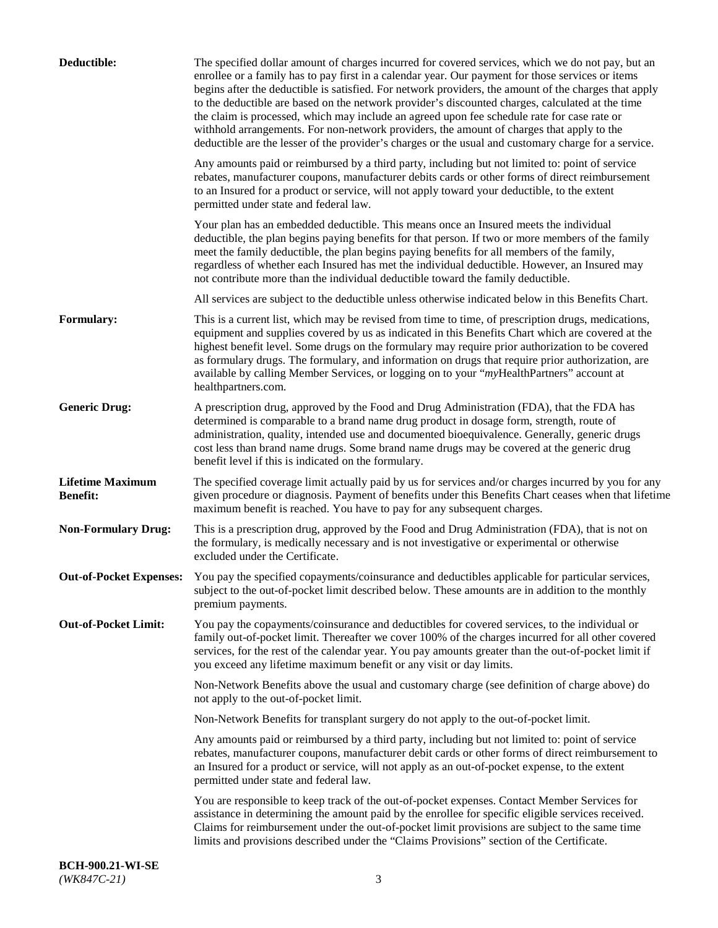| Deductible:                                | The specified dollar amount of charges incurred for covered services, which we do not pay, but an<br>enrollee or a family has to pay first in a calendar year. Our payment for those services or items<br>begins after the deductible is satisfied. For network providers, the amount of the charges that apply<br>to the deductible are based on the network provider's discounted charges, calculated at the time<br>the claim is processed, which may include an agreed upon fee schedule rate for case rate or<br>withhold arrangements. For non-network providers, the amount of charges that apply to the<br>deductible are the lesser of the provider's charges or the usual and customary charge for a service. |
|--------------------------------------------|-------------------------------------------------------------------------------------------------------------------------------------------------------------------------------------------------------------------------------------------------------------------------------------------------------------------------------------------------------------------------------------------------------------------------------------------------------------------------------------------------------------------------------------------------------------------------------------------------------------------------------------------------------------------------------------------------------------------------|
|                                            | Any amounts paid or reimbursed by a third party, including but not limited to: point of service<br>rebates, manufacturer coupons, manufacturer debits cards or other forms of direct reimbursement<br>to an Insured for a product or service, will not apply toward your deductible, to the extent<br>permitted under state and federal law.                                                                                                                                                                                                                                                                                                                                                                            |
|                                            | Your plan has an embedded deductible. This means once an Insured meets the individual<br>deductible, the plan begins paying benefits for that person. If two or more members of the family<br>meet the family deductible, the plan begins paying benefits for all members of the family,<br>regardless of whether each Insured has met the individual deductible. However, an Insured may<br>not contribute more than the individual deductible toward the family deductible.                                                                                                                                                                                                                                           |
|                                            | All services are subject to the deductible unless otherwise indicated below in this Benefits Chart.                                                                                                                                                                                                                                                                                                                                                                                                                                                                                                                                                                                                                     |
| Formulary:                                 | This is a current list, which may be revised from time to time, of prescription drugs, medications,<br>equipment and supplies covered by us as indicated in this Benefits Chart which are covered at the<br>highest benefit level. Some drugs on the formulary may require prior authorization to be covered<br>as formulary drugs. The formulary, and information on drugs that require prior authorization, are<br>available by calling Member Services, or logging on to your "myHealthPartners" account at<br>healthpartners.com.                                                                                                                                                                                   |
| <b>Generic Drug:</b>                       | A prescription drug, approved by the Food and Drug Administration (FDA), that the FDA has<br>determined is comparable to a brand name drug product in dosage form, strength, route of<br>administration, quality, intended use and documented bioequivalence. Generally, generic drugs<br>cost less than brand name drugs. Some brand name drugs may be covered at the generic drug<br>benefit level if this is indicated on the formulary.                                                                                                                                                                                                                                                                             |
| <b>Lifetime Maximum</b><br><b>Benefit:</b> | The specified coverage limit actually paid by us for services and/or charges incurred by you for any<br>given procedure or diagnosis. Payment of benefits under this Benefits Chart ceases when that lifetime<br>maximum benefit is reached. You have to pay for any subsequent charges.                                                                                                                                                                                                                                                                                                                                                                                                                                |
| <b>Non-Formulary Drug:</b>                 | This is a prescription drug, approved by the Food and Drug Administration (FDA), that is not on<br>the formulary, is medically necessary and is not investigative or experimental or otherwise<br>excluded under the Certificate.                                                                                                                                                                                                                                                                                                                                                                                                                                                                                       |
|                                            | Out-of-Pocket Expenses: You pay the specified copayments/coinsurance and deductibles applicable for particular services,<br>subject to the out-of-pocket limit described below. These amounts are in addition to the monthly<br>premium payments.                                                                                                                                                                                                                                                                                                                                                                                                                                                                       |
| <b>Out-of-Pocket Limit:</b>                | You pay the copayments/coinsurance and deductibles for covered services, to the individual or<br>family out-of-pocket limit. Thereafter we cover 100% of the charges incurred for all other covered<br>services, for the rest of the calendar year. You pay amounts greater than the out-of-pocket limit if<br>you exceed any lifetime maximum benefit or any visit or day limits.                                                                                                                                                                                                                                                                                                                                      |
|                                            | Non-Network Benefits above the usual and customary charge (see definition of charge above) do<br>not apply to the out-of-pocket limit.                                                                                                                                                                                                                                                                                                                                                                                                                                                                                                                                                                                  |
|                                            | Non-Network Benefits for transplant surgery do not apply to the out-of-pocket limit.                                                                                                                                                                                                                                                                                                                                                                                                                                                                                                                                                                                                                                    |
|                                            | Any amounts paid or reimbursed by a third party, including but not limited to: point of service<br>rebates, manufacturer coupons, manufacturer debit cards or other forms of direct reimbursement to<br>an Insured for a product or service, will not apply as an out-of-pocket expense, to the extent<br>permitted under state and federal law.                                                                                                                                                                                                                                                                                                                                                                        |
|                                            | You are responsible to keep track of the out-of-pocket expenses. Contact Member Services for<br>assistance in determining the amount paid by the enrollee for specific eligible services received.<br>Claims for reimbursement under the out-of-pocket limit provisions are subject to the same time<br>limits and provisions described under the "Claims Provisions" section of the Certificate.                                                                                                                                                                                                                                                                                                                       |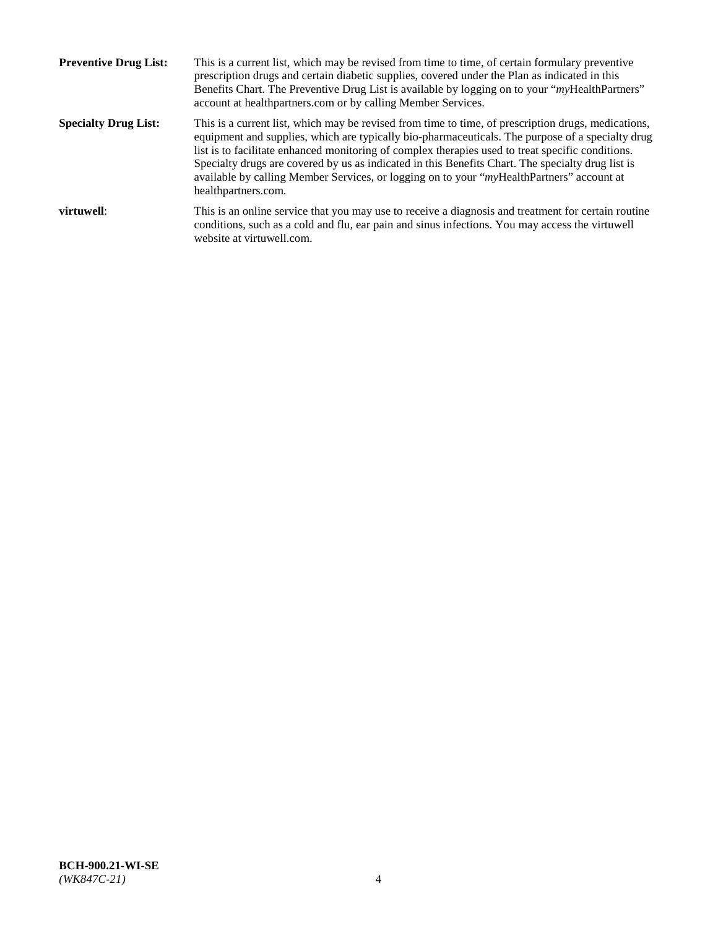| <b>Preventive Drug List:</b> | This is a current list, which may be revised from time to time, of certain formulary preventive<br>prescription drugs and certain diabetic supplies, covered under the Plan as indicated in this<br>Benefits Chart. The Preventive Drug List is available by logging on to your "myHealthPartners"<br>account at healthpartners.com or by calling Member Services.                                                                                                                                                                    |
|------------------------------|---------------------------------------------------------------------------------------------------------------------------------------------------------------------------------------------------------------------------------------------------------------------------------------------------------------------------------------------------------------------------------------------------------------------------------------------------------------------------------------------------------------------------------------|
| <b>Specialty Drug List:</b>  | This is a current list, which may be revised from time to time, of prescription drugs, medications,<br>equipment and supplies, which are typically bio-pharmaceuticals. The purpose of a specialty drug<br>list is to facilitate enhanced monitoring of complex therapies used to treat specific conditions.<br>Specialty drugs are covered by us as indicated in this Benefits Chart. The specialty drug list is<br>available by calling Member Services, or logging on to your "myHealthPartners" account at<br>healthpartners.com. |
| virtuwell:                   | This is an online service that you may use to receive a diagnosis and treatment for certain routine<br>conditions, such as a cold and flu, ear pain and sinus infections. You may access the virtuwell<br>website at virtuwell.com.                                                                                                                                                                                                                                                                                                   |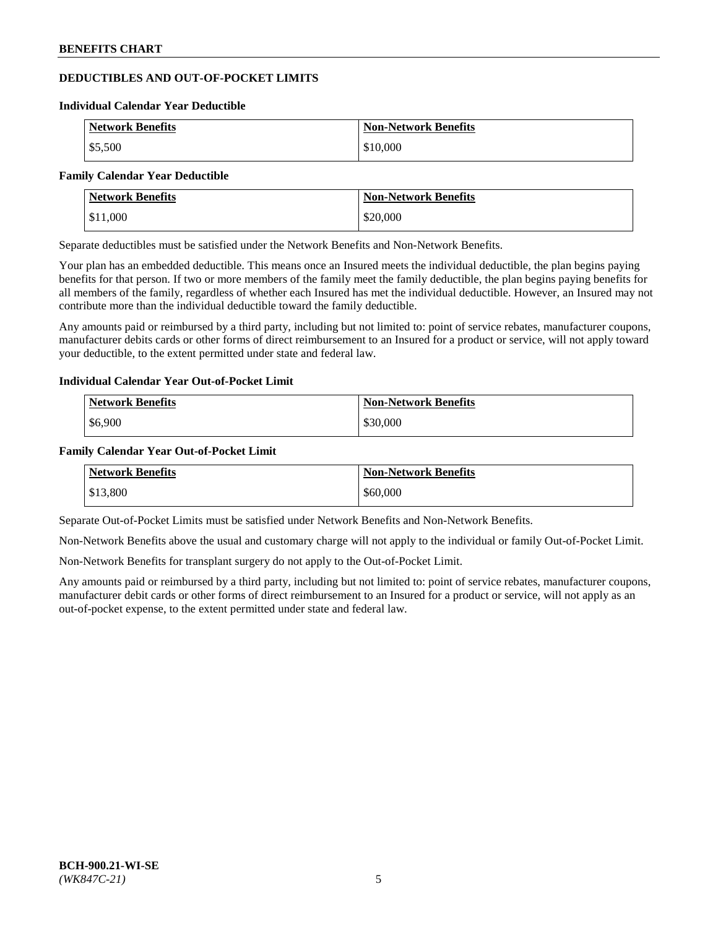# **DEDUCTIBLES AND OUT-OF-POCKET LIMITS**

#### **Individual Calendar Year Deductible**

| <b>Network Benefits</b> | <b>Non-Network Benefits</b> |
|-------------------------|-----------------------------|
| \$5,500                 | \$10,000                    |

#### **Family Calendar Year Deductible**

| <b>Network Benefits</b> | <b>Non-Network Benefits</b> |
|-------------------------|-----------------------------|
| \$11,000                | \$20,000                    |

Separate deductibles must be satisfied under the Network Benefits and Non-Network Benefits.

Your plan has an embedded deductible. This means once an Insured meets the individual deductible, the plan begins paying benefits for that person. If two or more members of the family meet the family deductible, the plan begins paying benefits for all members of the family, regardless of whether each Insured has met the individual deductible. However, an Insured may not contribute more than the individual deductible toward the family deductible.

Any amounts paid or reimbursed by a third party, including but not limited to: point of service rebates, manufacturer coupons, manufacturer debits cards or other forms of direct reimbursement to an Insured for a product or service, will not apply toward your deductible, to the extent permitted under state and federal law.

## **Individual Calendar Year Out-of-Pocket Limit**

| <b>Network Benefits</b> | <b>Non-Network Benefits</b> |
|-------------------------|-----------------------------|
| \$6,900                 | \$30,000                    |

### **Family Calendar Year Out-of-Pocket Limit**

| <b>Network Benefits</b> | <b>Non-Network Benefits</b> |
|-------------------------|-----------------------------|
| \$13,800                | \$60,000                    |

Separate Out-of-Pocket Limits must be satisfied under Network Benefits and Non-Network Benefits.

Non-Network Benefits above the usual and customary charge will not apply to the individual or family Out-of-Pocket Limit.

Non-Network Benefits for transplant surgery do not apply to the Out-of-Pocket Limit.

Any amounts paid or reimbursed by a third party, including but not limited to: point of service rebates, manufacturer coupons, manufacturer debit cards or other forms of direct reimbursement to an Insured for a product or service, will not apply as an out-of-pocket expense, to the extent permitted under state and federal law.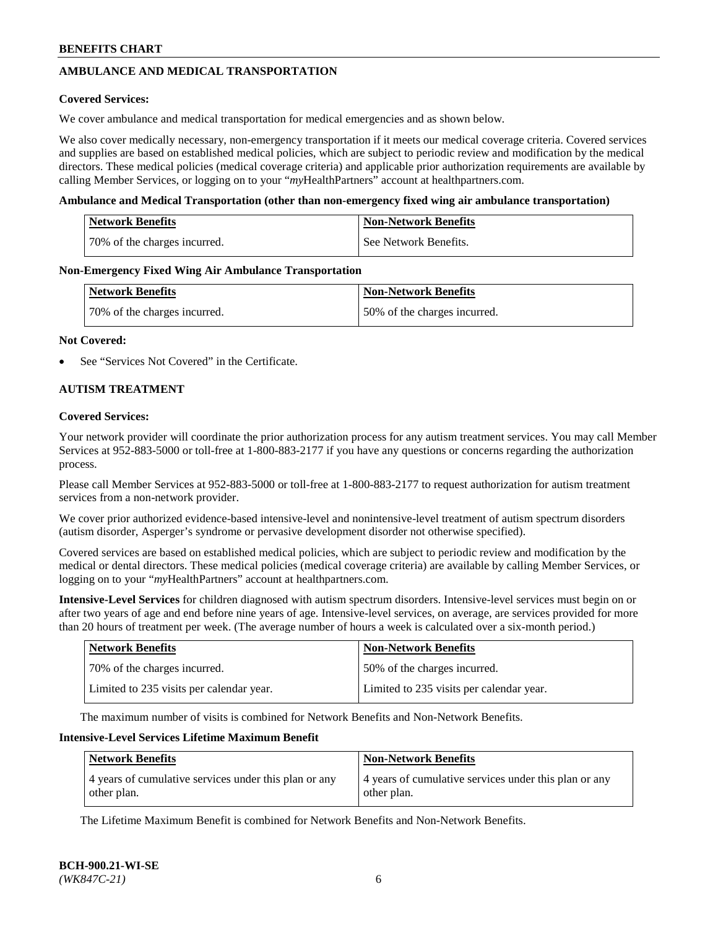# **AMBULANCE AND MEDICAL TRANSPORTATION**

### **Covered Services:**

We cover ambulance and medical transportation for medical emergencies and as shown below.

We also cover medically necessary, non-emergency transportation if it meets our medical coverage criteria. Covered services and supplies are based on established medical policies, which are subject to periodic review and modification by the medical directors. These medical policies (medical coverage criteria) and applicable prior authorization requirements are available by calling Member Services, or logging on to your "*my*HealthPartners" account a[t healthpartners.com.](https://www.healthpartners.com/hp/index.html)

### **Ambulance and Medical Transportation (other than non-emergency fixed wing air ambulance transportation)**

| <b>Network Benefits</b>      | <b>Non-Network Benefits</b> |
|------------------------------|-----------------------------|
| 70% of the charges incurred. | See Network Benefits.       |

### **Non-Emergency Fixed Wing Air Ambulance Transportation**

| <b>Network Benefits</b>      | <b>Non-Network Benefits</b>  |
|------------------------------|------------------------------|
| 70% of the charges incurred. | 50% of the charges incurred. |

### **Not Covered:**

See "Services Not Covered" in the Certificate.

## **AUTISM TREATMENT**

### **Covered Services:**

Your network provider will coordinate the prior authorization process for any autism treatment services. You may call Member Services at 952-883-5000 or toll-free at 1-800-883-2177 if you have any questions or concerns regarding the authorization process.

Please call Member Services at 952-883-5000 or toll-free at 1-800-883-2177 to request authorization for autism treatment services from a non-network provider.

We cover prior authorized evidence-based intensive-level and nonintensive-level treatment of autism spectrum disorders (autism disorder, Asperger's syndrome or pervasive development disorder not otherwise specified).

Covered services are based on established medical policies, which are subject to periodic review and modification by the medical or dental directors. These medical policies (medical coverage criteria) are available by calling Member Services, or logging on to your "*my*HealthPartners" account at [healthpartners.com.](https://www.healthpartners.com/hp/index.html)

**Intensive-Level Services** for children diagnosed with autism spectrum disorders. Intensive-level services must begin on or after two years of age and end before nine years of age. Intensive-level services, on average, are services provided for more than 20 hours of treatment per week. (The average number of hours a week is calculated over a six-month period.)

| Network Benefits                         | <b>Non-Network Benefits</b>              |
|------------------------------------------|------------------------------------------|
| 70% of the charges incurred.             | 50% of the charges incurred.             |
| Limited to 235 visits per calendar year. | Limited to 235 visits per calendar year. |

The maximum number of visits is combined for Network Benefits and Non-Network Benefits.

### **Intensive-Level Services Lifetime Maximum Benefit**

| <b>Network Benefits</b>                                              | <b>Non-Network Benefits</b>                                          |
|----------------------------------------------------------------------|----------------------------------------------------------------------|
| 4 years of cumulative services under this plan or any<br>other plan. | 4 years of cumulative services under this plan or any<br>other plan. |

The Lifetime Maximum Benefit is combined for Network Benefits and Non-Network Benefits.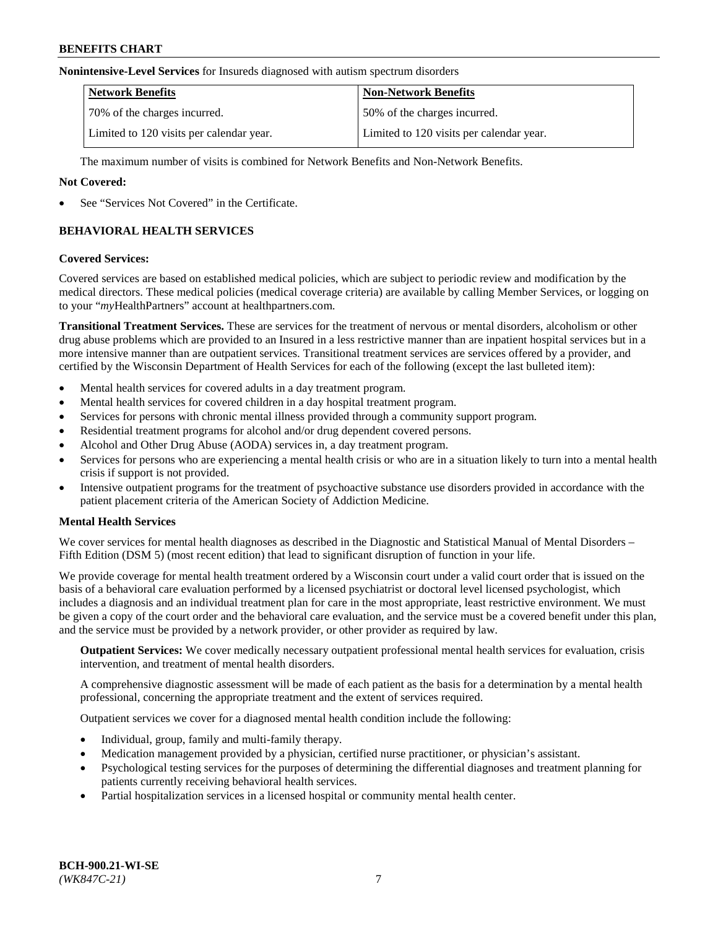#### **Nonintensive-Level Services** for Insureds diagnosed with autism spectrum disorders

| <b>Network Benefits</b>                  | <b>Non-Network Benefits</b>              |
|------------------------------------------|------------------------------------------|
| 70% of the charges incurred.             | 50% of the charges incurred.             |
| Limited to 120 visits per calendar year. | Limited to 120 visits per calendar year. |

The maximum number of visits is combined for Network Benefits and Non-Network Benefits.

### **Not Covered:**

See "Services Not Covered" in the Certificate.

# **BEHAVIORAL HEALTH SERVICES**

### **Covered Services:**

Covered services are based on established medical policies, which are subject to periodic review and modification by the medical directors. These medical policies (medical coverage criteria) are available by calling Member Services, or logging on to your "*my*HealthPartners" account at [healthpartners.com.](https://www.healthpartners.com/hp/index.html)

**Transitional Treatment Services.** These are services for the treatment of nervous or mental disorders, alcoholism or other drug abuse problems which are provided to an Insured in a less restrictive manner than are inpatient hospital services but in a more intensive manner than are outpatient services. Transitional treatment services are services offered by a provider, and certified by the Wisconsin Department of Health Services for each of the following (except the last bulleted item):

- Mental health services for covered adults in a day treatment program.
- Mental health services for covered children in a day hospital treatment program.
- Services for persons with chronic mental illness provided through a community support program.
- Residential treatment programs for alcohol and/or drug dependent covered persons.
- Alcohol and Other Drug Abuse (AODA) services in, a day treatment program.
- Services for persons who are experiencing a mental health crisis or who are in a situation likely to turn into a mental health crisis if support is not provided.
- Intensive outpatient programs for the treatment of psychoactive substance use disorders provided in accordance with the patient placement criteria of the American Society of Addiction Medicine.

## **Mental Health Services**

We cover services for mental health diagnoses as described in the Diagnostic and Statistical Manual of Mental Disorders – Fifth Edition (DSM 5) (most recent edition) that lead to significant disruption of function in your life.

We provide coverage for mental health treatment ordered by a Wisconsin court under a valid court order that is issued on the basis of a behavioral care evaluation performed by a licensed psychiatrist or doctoral level licensed psychologist, which includes a diagnosis and an individual treatment plan for care in the most appropriate, least restrictive environment. We must be given a copy of the court order and the behavioral care evaluation, and the service must be a covered benefit under this plan, and the service must be provided by a network provider, or other provider as required by law.

**Outpatient Services:** We cover medically necessary outpatient professional mental health services for evaluation, crisis intervention, and treatment of mental health disorders.

A comprehensive diagnostic assessment will be made of each patient as the basis for a determination by a mental health professional, concerning the appropriate treatment and the extent of services required.

Outpatient services we cover for a diagnosed mental health condition include the following:

- Individual, group, family and multi-family therapy.
- Medication management provided by a physician, certified nurse practitioner, or physician's assistant.
- Psychological testing services for the purposes of determining the differential diagnoses and treatment planning for patients currently receiving behavioral health services.
- Partial hospitalization services in a licensed hospital or community mental health center.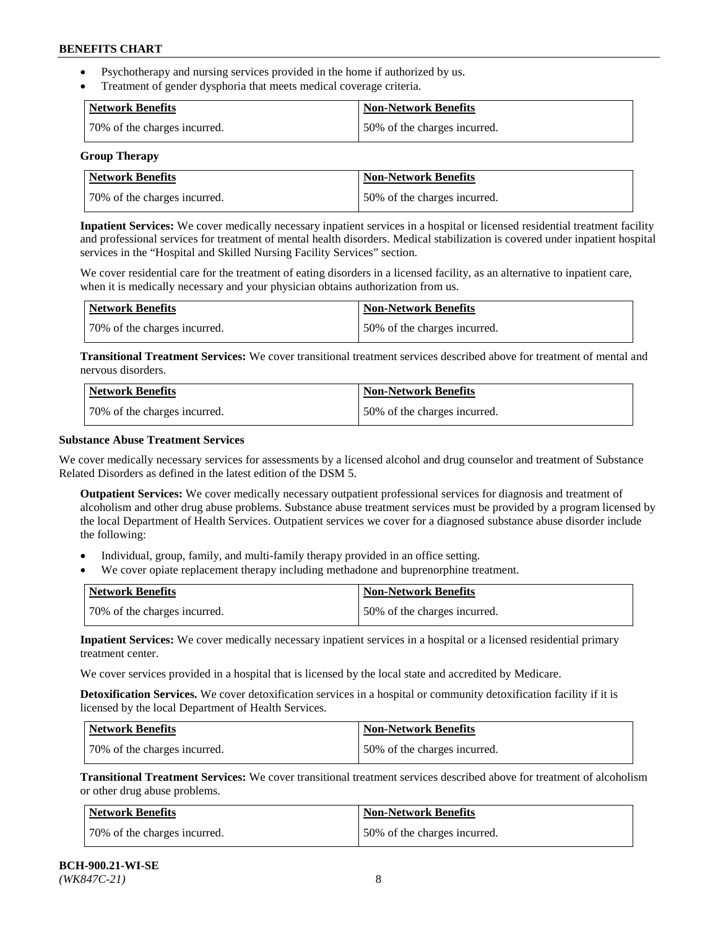- Psychotherapy and nursing services provided in the home if authorized by us.
- Treatment of gender dysphoria that meets medical coverage criteria.

| Network Benefits             | <b>Non-Network Benefits</b>  |
|------------------------------|------------------------------|
| 70% of the charges incurred. | 50% of the charges incurred. |

#### **Group Therapy**

| Network Benefits             | <b>Non-Network Benefits</b>  |
|------------------------------|------------------------------|
| 70% of the charges incurred. | 50% of the charges incurred. |

**Inpatient Services:** We cover medically necessary inpatient services in a hospital or licensed residential treatment facility and professional services for treatment of mental health disorders. Medical stabilization is covered under inpatient hospital services in the "Hospital and Skilled Nursing Facility Services" section.

We cover residential care for the treatment of eating disorders in a licensed facility, as an alternative to inpatient care, when it is medically necessary and your physician obtains authorization from us.

| Network Benefits             | <b>Non-Network Benefits</b>  |
|------------------------------|------------------------------|
| 70% of the charges incurred. | 50% of the charges incurred. |

**Transitional Treatment Services:** We cover transitional treatment services described above for treatment of mental and nervous disorders.

| Network Benefits             | Non-Network Benefits         |
|------------------------------|------------------------------|
| 70% of the charges incurred. | 50% of the charges incurred. |

### **Substance Abuse Treatment Services**

We cover medically necessary services for assessments by a licensed alcohol and drug counselor and treatment of Substance Related Disorders as defined in the latest edition of the DSM 5.

**Outpatient Services:** We cover medically necessary outpatient professional services for diagnosis and treatment of alcoholism and other drug abuse problems. Substance abuse treatment services must be provided by a program licensed by the local Department of Health Services. Outpatient services we cover for a diagnosed substance abuse disorder include the following:

- Individual, group, family, and multi-family therapy provided in an office setting.
- We cover opiate replacement therapy including methadone and buprenorphine treatment.

| <b>Network Benefits</b>      | <b>Non-Network Benefits</b>  |
|------------------------------|------------------------------|
| 70% of the charges incurred. | 50% of the charges incurred. |

**Inpatient Services:** We cover medically necessary inpatient services in a hospital or a licensed residential primary treatment center.

We cover services provided in a hospital that is licensed by the local state and accredited by Medicare.

**Detoxification Services.** We cover detoxification services in a hospital or community detoxification facility if it is licensed by the local Department of Health Services.

| Network Benefits             | <b>Non-Network Benefits</b>  |
|------------------------------|------------------------------|
| 70% of the charges incurred. | 50% of the charges incurred. |

**Transitional Treatment Services:** We cover transitional treatment services described above for treatment of alcoholism or other drug abuse problems.

| Network Benefits             | <b>Non-Network Benefits</b>  |
|------------------------------|------------------------------|
| 70% of the charges incurred. | 50% of the charges incurred. |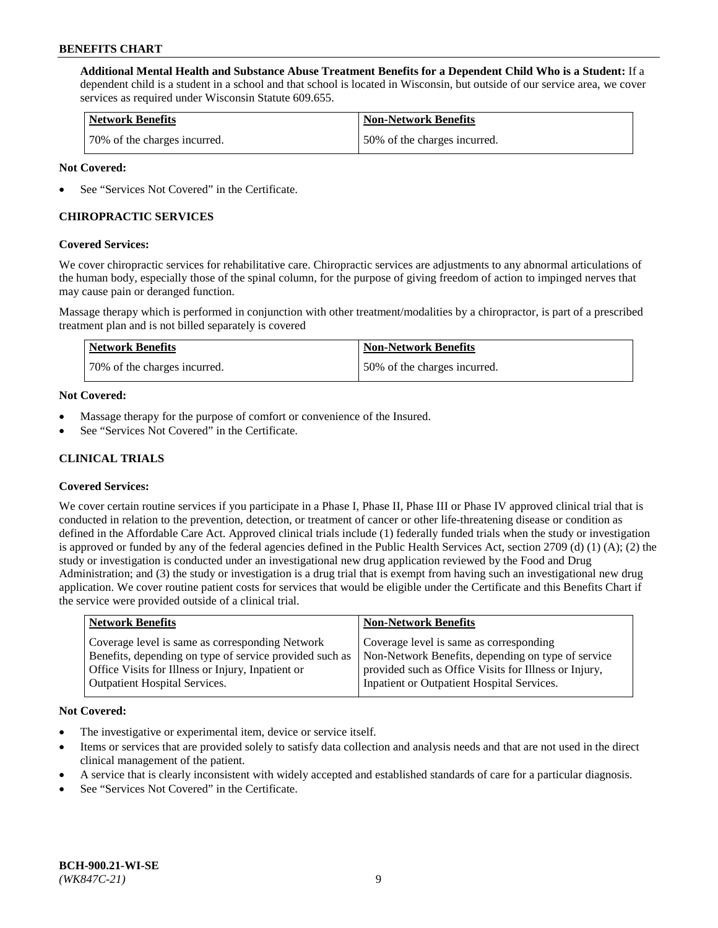**Additional Mental Health and Substance Abuse Treatment Benefits for a Dependent Child Who is a Student:** If a dependent child is a student in a school and that school is located in Wisconsin, but outside of our service area, we cover services as required under Wisconsin Statute 609.655.

| <b>Network Benefits</b>      | <b>Non-Network Benefits</b>  |
|------------------------------|------------------------------|
| 70% of the charges incurred. | 50% of the charges incurred. |

### **Not Covered:**

See "Services Not Covered" in the Certificate.

# **CHIROPRACTIC SERVICES**

### **Covered Services:**

We cover chiropractic services for rehabilitative care. Chiropractic services are adjustments to any abnormal articulations of the human body, especially those of the spinal column, for the purpose of giving freedom of action to impinged nerves that may cause pain or deranged function.

Massage therapy which is performed in conjunction with other treatment/modalities by a chiropractor, is part of a prescribed treatment plan and is not billed separately is covered

| Network Benefits             | <b>Non-Network Benefits</b>  |
|------------------------------|------------------------------|
| 70% of the charges incurred. | 50% of the charges incurred. |

### **Not Covered:**

- Massage therapy for the purpose of comfort or convenience of the Insured.
- See "Services Not Covered" in the Certificate.

# **CLINICAL TRIALS**

## **Covered Services:**

We cover certain routine services if you participate in a Phase I, Phase II, Phase III or Phase IV approved clinical trial that is conducted in relation to the prevention, detection, or treatment of cancer or other life-threatening disease or condition as defined in the Affordable Care Act. Approved clinical trials include (1) federally funded trials when the study or investigation is approved or funded by any of the federal agencies defined in the Public Health Services Act, section 2709 (d) (1) (A); (2) the study or investigation is conducted under an investigational new drug application reviewed by the Food and Drug Administration; and (3) the study or investigation is a drug trial that is exempt from having such an investigational new drug application. We cover routine patient costs for services that would be eligible under the Certificate and this Benefits Chart if the service were provided outside of a clinical trial.

| <b>Network Benefits</b>                                 | <b>Non-Network Benefits</b>                           |
|---------------------------------------------------------|-------------------------------------------------------|
| Coverage level is same as corresponding Network         | Coverage level is same as corresponding               |
| Benefits, depending on type of service provided such as | Non-Network Benefits, depending on type of service    |
| Office Visits for Illness or Injury, Inpatient or       | provided such as Office Visits for Illness or Injury, |
| <b>Outpatient Hospital Services.</b>                    | Inpatient or Outpatient Hospital Services.            |

#### **Not Covered:**

- The investigative or experimental item, device or service itself.
- Items or services that are provided solely to satisfy data collection and analysis needs and that are not used in the direct clinical management of the patient.
- A service that is clearly inconsistent with widely accepted and established standards of care for a particular diagnosis.
- See "Services Not Covered" in the Certificate.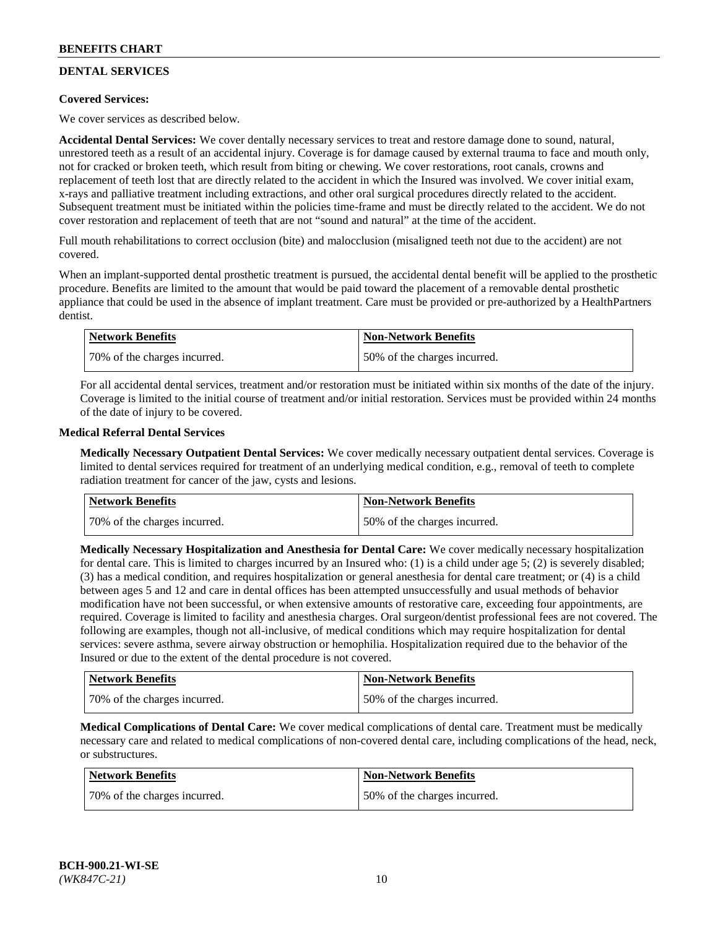# **DENTAL SERVICES**

## **Covered Services:**

We cover services as described below.

**Accidental Dental Services:** We cover dentally necessary services to treat and restore damage done to sound, natural, unrestored teeth as a result of an accidental injury. Coverage is for damage caused by external trauma to face and mouth only, not for cracked or broken teeth, which result from biting or chewing. We cover restorations, root canals, crowns and replacement of teeth lost that are directly related to the accident in which the Insured was involved. We cover initial exam, x-rays and palliative treatment including extractions, and other oral surgical procedures directly related to the accident. Subsequent treatment must be initiated within the policies time-frame and must be directly related to the accident. We do not cover restoration and replacement of teeth that are not "sound and natural" at the time of the accident.

Full mouth rehabilitations to correct occlusion (bite) and malocclusion (misaligned teeth not due to the accident) are not covered.

When an implant-supported dental prosthetic treatment is pursued, the accidental dental benefit will be applied to the prosthetic procedure. Benefits are limited to the amount that would be paid toward the placement of a removable dental prosthetic appliance that could be used in the absence of implant treatment. Care must be provided or pre-authorized by a HealthPartners dentist.

| Network Benefits             | <b>Non-Network Benefits</b>  |
|------------------------------|------------------------------|
| 70% of the charges incurred. | 50% of the charges incurred. |

For all accidental dental services, treatment and/or restoration must be initiated within six months of the date of the injury. Coverage is limited to the initial course of treatment and/or initial restoration. Services must be provided within 24 months of the date of injury to be covered.

### **Medical Referral Dental Services**

**Medically Necessary Outpatient Dental Services:** We cover medically necessary outpatient dental services. Coverage is limited to dental services required for treatment of an underlying medical condition, e.g., removal of teeth to complete radiation treatment for cancer of the jaw, cysts and lesions.

| <b>Network Benefits</b>      | <b>Non-Network Benefits</b>  |
|------------------------------|------------------------------|
| 70% of the charges incurred. | 50% of the charges incurred. |

**Medically Necessary Hospitalization and Anesthesia for Dental Care:** We cover medically necessary hospitalization for dental care. This is limited to charges incurred by an Insured who: (1) is a child under age  $5$ ; (2) is severely disabled; (3) has a medical condition, and requires hospitalization or general anesthesia for dental care treatment; or (4) is a child between ages 5 and 12 and care in dental offices has been attempted unsuccessfully and usual methods of behavior modification have not been successful, or when extensive amounts of restorative care, exceeding four appointments, are required. Coverage is limited to facility and anesthesia charges. Oral surgeon/dentist professional fees are not covered. The following are examples, though not all-inclusive, of medical conditions which may require hospitalization for dental services: severe asthma, severe airway obstruction or hemophilia. Hospitalization required due to the behavior of the Insured or due to the extent of the dental procedure is not covered.

| Network Benefits             | <b>Non-Network Benefits</b>  |
|------------------------------|------------------------------|
| 70% of the charges incurred. | 50% of the charges incurred. |

**Medical Complications of Dental Care:** We cover medical complications of dental care. Treatment must be medically necessary care and related to medical complications of non-covered dental care, including complications of the head, neck, or substructures.

| Network Benefits             | Non-Network Benefits         |
|------------------------------|------------------------------|
| 70% of the charges incurred. | 50% of the charges incurred. |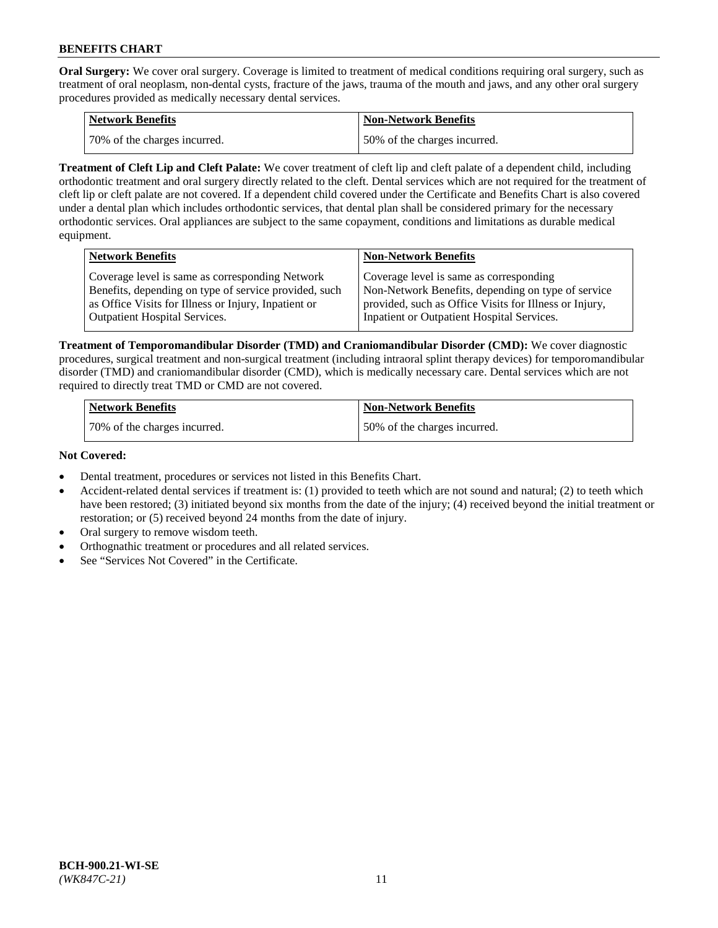**Oral Surgery:** We cover oral surgery. Coverage is limited to treatment of medical conditions requiring oral surgery, such as treatment of oral neoplasm, non-dental cysts, fracture of the jaws, trauma of the mouth and jaws, and any other oral surgery procedures provided as medically necessary dental services.

| <b>Network Benefits</b>       | <b>Non-Network Benefits</b>  |
|-------------------------------|------------------------------|
| 170% of the charges incurred. | 50% of the charges incurred. |

**Treatment of Cleft Lip and Cleft Palate:** We cover treatment of cleft lip and cleft palate of a dependent child, including orthodontic treatment and oral surgery directly related to the cleft. Dental services which are not required for the treatment of cleft lip or cleft palate are not covered. If a dependent child covered under the Certificate and Benefits Chart is also covered under a dental plan which includes orthodontic services, that dental plan shall be considered primary for the necessary orthodontic services. Oral appliances are subject to the same copayment, conditions and limitations as durable medical equipment.

| <b>Network Benefits</b>                               | <b>Non-Network Benefits</b>                            |
|-------------------------------------------------------|--------------------------------------------------------|
| Coverage level is same as corresponding Network       | Coverage level is same as corresponding                |
| Benefits, depending on type of service provided, such | Non-Network Benefits, depending on type of service     |
| as Office Visits for Illness or Injury, Inpatient or  | provided, such as Office Visits for Illness or Injury, |
| Outpatient Hospital Services.                         | Inpatient or Outpatient Hospital Services.             |

**Treatment of Temporomandibular Disorder (TMD) and Craniomandibular Disorder (CMD):** We cover diagnostic procedures, surgical treatment and non-surgical treatment (including intraoral splint therapy devices) for temporomandibular disorder (TMD) and craniomandibular disorder (CMD), which is medically necessary care. Dental services which are not required to directly treat TMD or CMD are not covered.

| <b>Network Benefits</b>      | <b>Non-Network Benefits</b>  |
|------------------------------|------------------------------|
| 70% of the charges incurred. | 50% of the charges incurred. |

### **Not Covered:**

- Dental treatment, procedures or services not listed in this Benefits Chart.
- Accident-related dental services if treatment is: (1) provided to teeth which are not sound and natural; (2) to teeth which have been restored; (3) initiated beyond six months from the date of the injury; (4) received beyond the initial treatment or restoration; or (5) received beyond 24 months from the date of injury.
- Oral surgery to remove wisdom teeth.
- Orthognathic treatment or procedures and all related services.
- See "Services Not Covered" in the Certificate.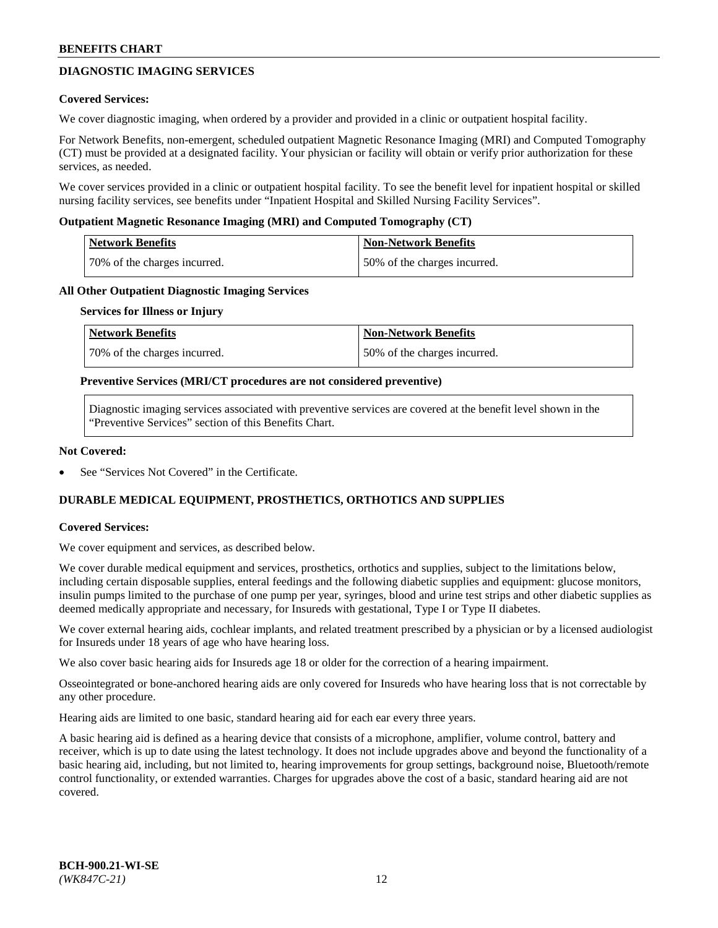# **DIAGNOSTIC IMAGING SERVICES**

### **Covered Services:**

We cover diagnostic imaging, when ordered by a provider and provided in a clinic or outpatient hospital facility.

For Network Benefits, non-emergent, scheduled outpatient Magnetic Resonance Imaging (MRI) and Computed Tomography (CT) must be provided at a designated facility. Your physician or facility will obtain or verify prior authorization for these services, as needed.

We cover services provided in a clinic or outpatient hospital facility. To see the benefit level for inpatient hospital or skilled nursing facility services, see benefits under "Inpatient Hospital and Skilled Nursing Facility Services".

### **Outpatient Magnetic Resonance Imaging (MRI) and Computed Tomography (CT)**

| <b>Network Benefits</b>      | <b>Non-Network Benefits</b>  |
|------------------------------|------------------------------|
| 70% of the charges incurred. | 50% of the charges incurred. |

### **All Other Outpatient Diagnostic Imaging Services**

#### **Services for Illness or Injury**

| Network Benefits             | <b>Non-Network Benefits</b>  |
|------------------------------|------------------------------|
| 70% of the charges incurred. | 50% of the charges incurred. |

### **Preventive Services (MRI/CT procedures are not considered preventive)**

Diagnostic imaging services associated with preventive services are covered at the benefit level shown in the "Preventive Services" section of this Benefits Chart.

### **Not Covered:**

See "Services Not Covered" in the Certificate.

# **DURABLE MEDICAL EQUIPMENT, PROSTHETICS, ORTHOTICS AND SUPPLIES**

#### **Covered Services:**

We cover equipment and services, as described below.

We cover durable medical equipment and services, prosthetics, orthotics and supplies, subject to the limitations below, including certain disposable supplies, enteral feedings and the following diabetic supplies and equipment: glucose monitors, insulin pumps limited to the purchase of one pump per year, syringes, blood and urine test strips and other diabetic supplies as deemed medically appropriate and necessary, for Insureds with gestational, Type I or Type II diabetes.

We cover external hearing aids, cochlear implants, and related treatment prescribed by a physician or by a licensed audiologist for Insureds under 18 years of age who have hearing loss.

We also cover basic hearing aids for Insureds age 18 or older for the correction of a hearing impairment.

Osseointegrated or bone-anchored hearing aids are only covered for Insureds who have hearing loss that is not correctable by any other procedure.

Hearing aids are limited to one basic, standard hearing aid for each ear every three years.

A basic hearing aid is defined as a hearing device that consists of a microphone, amplifier, volume control, battery and receiver, which is up to date using the latest technology. It does not include upgrades above and beyond the functionality of a basic hearing aid, including, but not limited to, hearing improvements for group settings, background noise, Bluetooth/remote control functionality, or extended warranties. Charges for upgrades above the cost of a basic, standard hearing aid are not covered.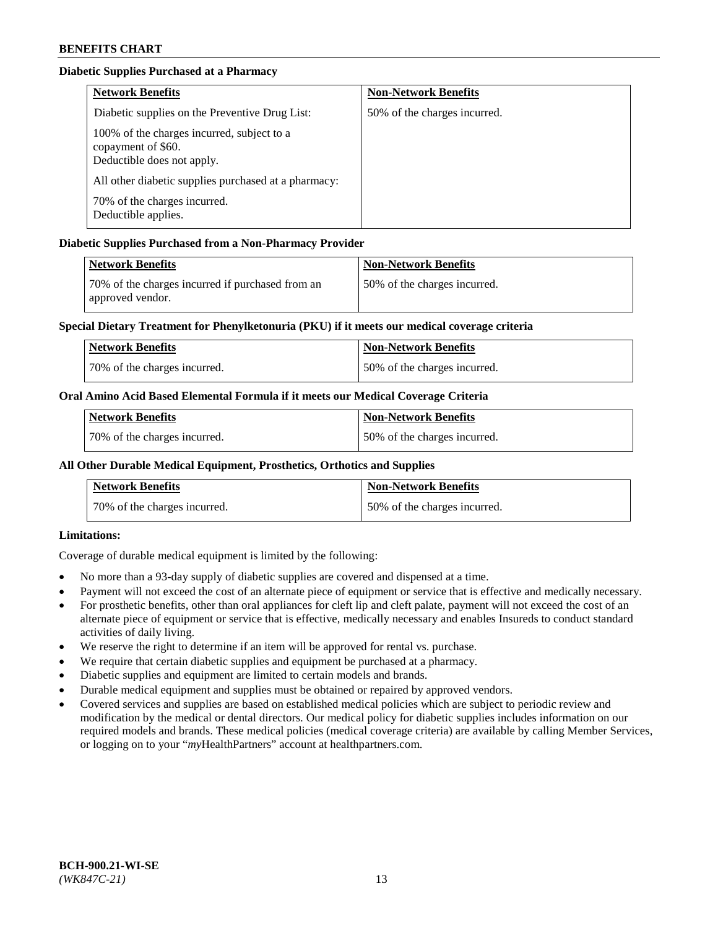# **Diabetic Supplies Purchased at a Pharmacy**

| <b>Network Benefits</b>                                                                        | <b>Non-Network Benefits</b>  |
|------------------------------------------------------------------------------------------------|------------------------------|
| Diabetic supplies on the Preventive Drug List:                                                 | 50% of the charges incurred. |
| 100% of the charges incurred, subject to a<br>copayment of \$60.<br>Deductible does not apply. |                              |
| All other diabetic supplies purchased at a pharmacy:                                           |                              |
| 70% of the charges incurred.<br>Deductible applies.                                            |                              |

# **Diabetic Supplies Purchased from a Non-Pharmacy Provider**

| Network Benefits                                                     | <b>Non-Network Benefits</b>  |
|----------------------------------------------------------------------|------------------------------|
| 70% of the charges incurred if purchased from an<br>approved vendor. | 50% of the charges incurred. |

## **Special Dietary Treatment for Phenylketonuria (PKU) if it meets our medical coverage criteria**

| <b>Network Benefits</b>      | <b>Non-Network Benefits</b>  |
|------------------------------|------------------------------|
| 70% of the charges incurred. | 50% of the charges incurred. |

## **Oral Amino Acid Based Elemental Formula if it meets our Medical Coverage Criteria**

| <b>Network Benefits</b>      | <b>Non-Network Benefits</b>  |
|------------------------------|------------------------------|
| 70% of the charges incurred. | 50% of the charges incurred. |

# **All Other Durable Medical Equipment, Prosthetics, Orthotics and Supplies**

| <b>Network Benefits</b>      | <b>Non-Network Benefits</b>  |
|------------------------------|------------------------------|
| 70% of the charges incurred. | 50% of the charges incurred. |

## **Limitations:**

Coverage of durable medical equipment is limited by the following:

- No more than a 93-day supply of diabetic supplies are covered and dispensed at a time.
- Payment will not exceed the cost of an alternate piece of equipment or service that is effective and medically necessary.
- For prosthetic benefits, other than oral appliances for cleft lip and cleft palate, payment will not exceed the cost of an alternate piece of equipment or service that is effective, medically necessary and enables Insureds to conduct standard activities of daily living.
- We reserve the right to determine if an item will be approved for rental vs. purchase.
- We require that certain diabetic supplies and equipment be purchased at a pharmacy.
- Diabetic supplies and equipment are limited to certain models and brands.
- Durable medical equipment and supplies must be obtained or repaired by approved vendors.
- Covered services and supplies are based on established medical policies which are subject to periodic review and modification by the medical or dental directors. Our medical policy for diabetic supplies includes information on our required models and brands. These medical policies (medical coverage criteria) are available by calling Member Services, or logging on to your "*my*HealthPartners" account a[t healthpartners.com.](https://www.healthpartners.com/hp/index.html)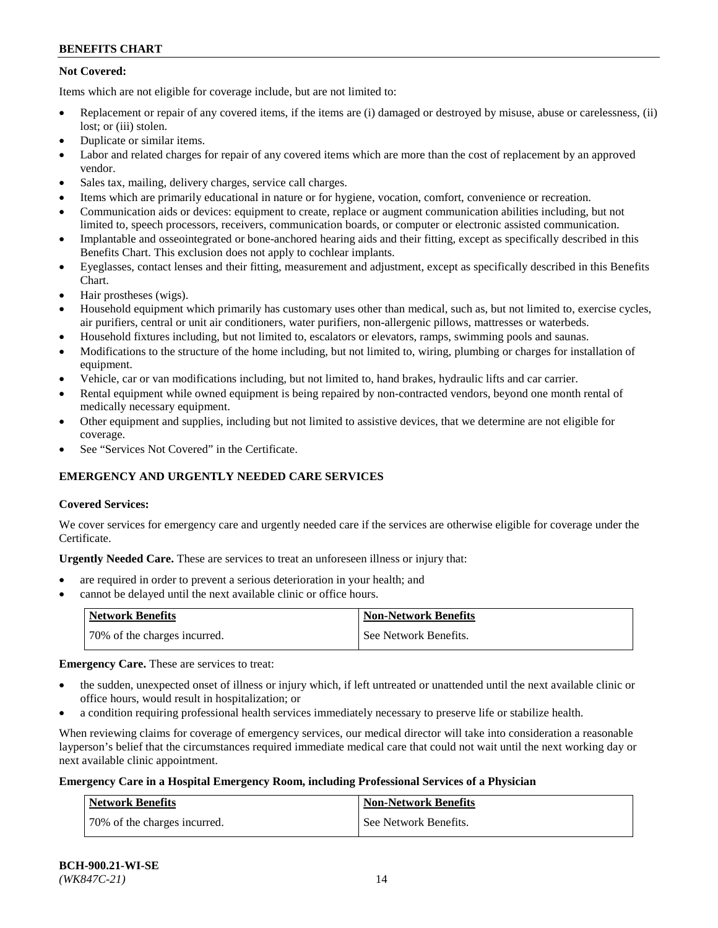# **Not Covered:**

Items which are not eligible for coverage include, but are not limited to:

- Replacement or repair of any covered items, if the items are (i) damaged or destroyed by misuse, abuse or carelessness, (ii) lost; or (iii) stolen.
- Duplicate or similar items.
- Labor and related charges for repair of any covered items which are more than the cost of replacement by an approved vendor.
- Sales tax, mailing, delivery charges, service call charges.
- Items which are primarily educational in nature or for hygiene, vocation, comfort, convenience or recreation.
- Communication aids or devices: equipment to create, replace or augment communication abilities including, but not limited to, speech processors, receivers, communication boards, or computer or electronic assisted communication.
- Implantable and osseointegrated or bone-anchored hearing aids and their fitting, except as specifically described in this Benefits Chart. This exclusion does not apply to cochlear implants.
- Eyeglasses, contact lenses and their fitting, measurement and adjustment, except as specifically described in this Benefits Chart.
- Hair prostheses (wigs).
- Household equipment which primarily has customary uses other than medical, such as, but not limited to, exercise cycles, air purifiers, central or unit air conditioners, water purifiers, non-allergenic pillows, mattresses or waterbeds.
- Household fixtures including, but not limited to, escalators or elevators, ramps, swimming pools and saunas.
- Modifications to the structure of the home including, but not limited to, wiring, plumbing or charges for installation of equipment.
- Vehicle, car or van modifications including, but not limited to, hand brakes, hydraulic lifts and car carrier.
- Rental equipment while owned equipment is being repaired by non-contracted vendors, beyond one month rental of medically necessary equipment.
- Other equipment and supplies, including but not limited to assistive devices, that we determine are not eligible for coverage.
- See "Services Not Covered" in the Certificate.

# **EMERGENCY AND URGENTLY NEEDED CARE SERVICES**

## **Covered Services:**

We cover services for emergency care and urgently needed care if the services are otherwise eligible for coverage under the Certificate.

**Urgently Needed Care.** These are services to treat an unforeseen illness or injury that:

- are required in order to prevent a serious deterioration in your health; and
- cannot be delayed until the next available clinic or office hours.

| <b>Network Benefits</b>      | <b>Non-Network Benefits</b> |
|------------------------------|-----------------------------|
| 70% of the charges incurred. | See Network Benefits.       |

**Emergency Care.** These are services to treat:

- the sudden, unexpected onset of illness or injury which, if left untreated or unattended until the next available clinic or office hours, would result in hospitalization; or
- a condition requiring professional health services immediately necessary to preserve life or stabilize health.

When reviewing claims for coverage of emergency services, our medical director will take into consideration a reasonable layperson's belief that the circumstances required immediate medical care that could not wait until the next working day or next available clinic appointment.

## **Emergency Care in a Hospital Emergency Room, including Professional Services of a Physician**

| <b>Network Benefits</b>      | <b>Non-Network Benefits</b> |
|------------------------------|-----------------------------|
| 70% of the charges incurred. | See Network Benefits.       |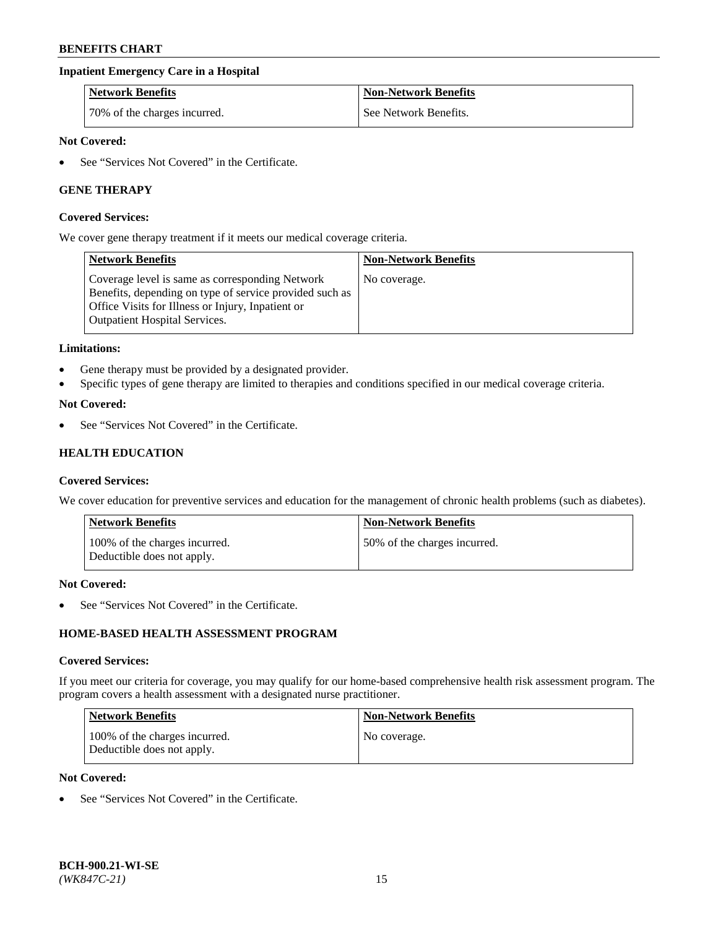## **Inpatient Emergency Care in a Hospital**

| <b>Network Benefits</b>      | <b>Non-Network Benefits</b> |
|------------------------------|-----------------------------|
| 70% of the charges incurred. | See Network Benefits.       |

# **Not Covered:**

See "Services Not Covered" in the Certificate.

## **GENE THERAPY**

#### **Covered Services:**

We cover gene therapy treatment if it meets our medical coverage criteria.

| <b>Network Benefits</b>                                                                                                                                                                          | <b>Non-Network Benefits</b> |
|--------------------------------------------------------------------------------------------------------------------------------------------------------------------------------------------------|-----------------------------|
| Coverage level is same as corresponding Network<br>Benefits, depending on type of service provided such as<br>Office Visits for Illness or Injury, Inpatient or<br>Outpatient Hospital Services. | No coverage.                |

#### **Limitations:**

- Gene therapy must be provided by a designated provider.
- Specific types of gene therapy are limited to therapies and conditions specified in our medical coverage criteria.

#### **Not Covered:**

See "Services Not Covered" in the Certificate.

# **HEALTH EDUCATION**

#### **Covered Services:**

We cover education for preventive services and education for the management of chronic health problems (such as diabetes).

| Network Benefits                                            | <b>Non-Network Benefits</b>  |
|-------------------------------------------------------------|------------------------------|
| 100% of the charges incurred.<br>Deductible does not apply. | 50% of the charges incurred. |

#### **Not Covered:**

See "Services Not Covered" in the Certificate.

# **HOME-BASED HEALTH ASSESSMENT PROGRAM**

#### **Covered Services:**

If you meet our criteria for coverage, you may qualify for our home-based comprehensive health risk assessment program. The program covers a health assessment with a designated nurse practitioner.

| Network Benefits                                            | <b>Non-Network Benefits</b> |
|-------------------------------------------------------------|-----------------------------|
| 100% of the charges incurred.<br>Deductible does not apply. | No coverage.                |

# **Not Covered:**

• See "Services Not Covered" in the Certificate.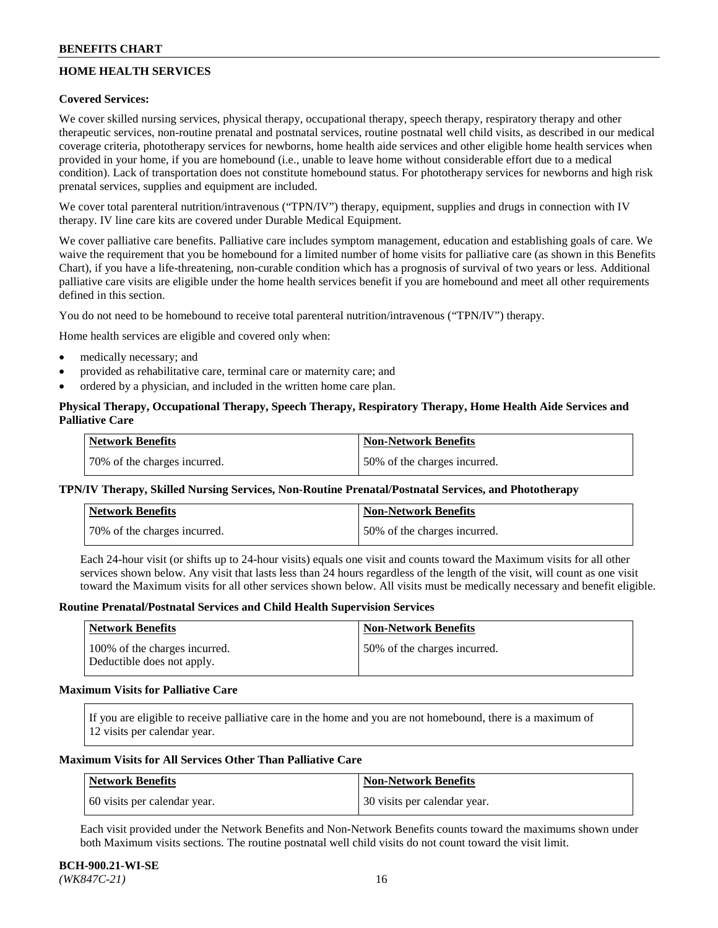# **HOME HEALTH SERVICES**

## **Covered Services:**

We cover skilled nursing services, physical therapy, occupational therapy, speech therapy, respiratory therapy and other therapeutic services, non-routine prenatal and postnatal services, routine postnatal well child visits, as described in our medical coverage criteria, phototherapy services for newborns, home health aide services and other eligible home health services when provided in your home, if you are homebound (i.e., unable to leave home without considerable effort due to a medical condition). Lack of transportation does not constitute homebound status. For phototherapy services for newborns and high risk prenatal services, supplies and equipment are included.

We cover total parenteral nutrition/intravenous ("TPN/IV") therapy, equipment, supplies and drugs in connection with IV therapy. IV line care kits are covered under Durable Medical Equipment.

We cover palliative care benefits. Palliative care includes symptom management, education and establishing goals of care. We waive the requirement that you be homebound for a limited number of home visits for palliative care (as shown in this Benefits Chart), if you have a life-threatening, non-curable condition which has a prognosis of survival of two years or less. Additional palliative care visits are eligible under the home health services benefit if you are homebound and meet all other requirements defined in this section.

You do not need to be homebound to receive total parenteral nutrition/intravenous ("TPN/IV") therapy.

Home health services are eligible and covered only when:

- medically necessary; and
- provided as rehabilitative care, terminal care or maternity care; and
- ordered by a physician, and included in the written home care plan.

# **Physical Therapy, Occupational Therapy, Speech Therapy, Respiratory Therapy, Home Health Aide Services and Palliative Care**

| Network Benefits             | <b>Non-Network Benefits</b>  |
|------------------------------|------------------------------|
| 70% of the charges incurred. | 50% of the charges incurred. |

## **TPN/IV Therapy, Skilled Nursing Services, Non-Routine Prenatal/Postnatal Services, and Phototherapy**

| Network Benefits             | <b>Non-Network Benefits</b>  |
|------------------------------|------------------------------|
| 70% of the charges incurred. | 50% of the charges incurred. |

Each 24-hour visit (or shifts up to 24-hour visits) equals one visit and counts toward the Maximum visits for all other services shown below. Any visit that lasts less than 24 hours regardless of the length of the visit, will count as one visit toward the Maximum visits for all other services shown below. All visits must be medically necessary and benefit eligible.

#### **Routine Prenatal/Postnatal Services and Child Health Supervision Services**

| Network Benefits                                            | <b>Non-Network Benefits</b>  |
|-------------------------------------------------------------|------------------------------|
| 100% of the charges incurred.<br>Deductible does not apply. | 50% of the charges incurred. |

### **Maximum Visits for Palliative Care**

If you are eligible to receive palliative care in the home and you are not homebound, there is a maximum of 12 visits per calendar year.

### **Maximum Visits for All Services Other Than Palliative Care**

| Network Benefits             | Non-Network Benefits         |
|------------------------------|------------------------------|
| 60 visits per calendar year. | 30 visits per calendar year. |

Each visit provided under the Network Benefits and Non-Network Benefits counts toward the maximums shown under both Maximum visits sections. The routine postnatal well child visits do not count toward the visit limit.

#### **BCH-900.21-WI-SE**  *(WK847C-21)* 16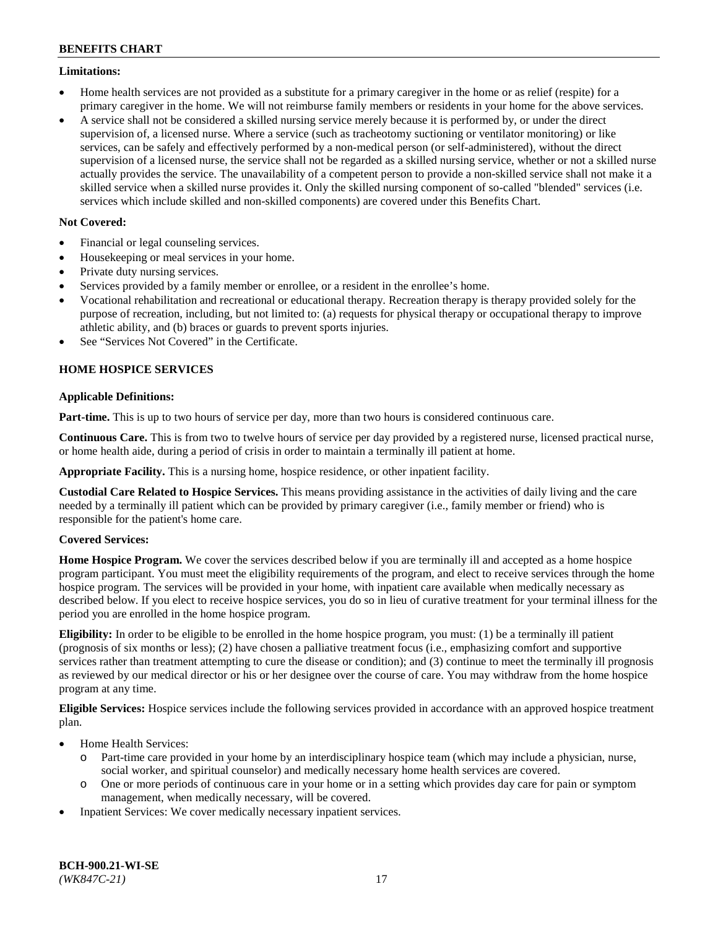### **Limitations:**

- Home health services are not provided as a substitute for a primary caregiver in the home or as relief (respite) for a primary caregiver in the home. We will not reimburse family members or residents in your home for the above services.
- A service shall not be considered a skilled nursing service merely because it is performed by, or under the direct supervision of, a licensed nurse. Where a service (such as tracheotomy suctioning or ventilator monitoring) or like services, can be safely and effectively performed by a non-medical person (or self-administered), without the direct supervision of a licensed nurse, the service shall not be regarded as a skilled nursing service, whether or not a skilled nurse actually provides the service. The unavailability of a competent person to provide a non-skilled service shall not make it a skilled service when a skilled nurse provides it. Only the skilled nursing component of so-called "blended" services (i.e. services which include skilled and non-skilled components) are covered under this Benefits Chart.

# **Not Covered:**

- Financial or legal counseling services.
- Housekeeping or meal services in your home.
- Private duty nursing services.
- Services provided by a family member or enrollee, or a resident in the enrollee's home.
- Vocational rehabilitation and recreational or educational therapy. Recreation therapy is therapy provided solely for the purpose of recreation, including, but not limited to: (a) requests for physical therapy or occupational therapy to improve athletic ability, and (b) braces or guards to prevent sports injuries.
- See "Services Not Covered" in the Certificate.

# **HOME HOSPICE SERVICES**

## **Applicable Definitions:**

**Part-time.** This is up to two hours of service per day, more than two hours is considered continuous care.

**Continuous Care.** This is from two to twelve hours of service per day provided by a registered nurse, licensed practical nurse, or home health aide, during a period of crisis in order to maintain a terminally ill patient at home.

**Appropriate Facility.** This is a nursing home, hospice residence, or other inpatient facility.

**Custodial Care Related to Hospice Services.** This means providing assistance in the activities of daily living and the care needed by a terminally ill patient which can be provided by primary caregiver (i.e., family member or friend) who is responsible for the patient's home care.

## **Covered Services:**

**Home Hospice Program.** We cover the services described below if you are terminally ill and accepted as a home hospice program participant. You must meet the eligibility requirements of the program, and elect to receive services through the home hospice program. The services will be provided in your home, with inpatient care available when medically necessary as described below. If you elect to receive hospice services, you do so in lieu of curative treatment for your terminal illness for the period you are enrolled in the home hospice program.

**Eligibility:** In order to be eligible to be enrolled in the home hospice program, you must: (1) be a terminally ill patient (prognosis of six months or less); (2) have chosen a palliative treatment focus (i.e., emphasizing comfort and supportive services rather than treatment attempting to cure the disease or condition); and (3) continue to meet the terminally ill prognosis as reviewed by our medical director or his or her designee over the course of care. You may withdraw from the home hospice program at any time.

**Eligible Services:** Hospice services include the following services provided in accordance with an approved hospice treatment plan.

- Home Health Services:
	- o Part-time care provided in your home by an interdisciplinary hospice team (which may include a physician, nurse, social worker, and spiritual counselor) and medically necessary home health services are covered.
	- o One or more periods of continuous care in your home or in a setting which provides day care for pain or symptom management, when medically necessary, will be covered.
- Inpatient Services: We cover medically necessary inpatient services.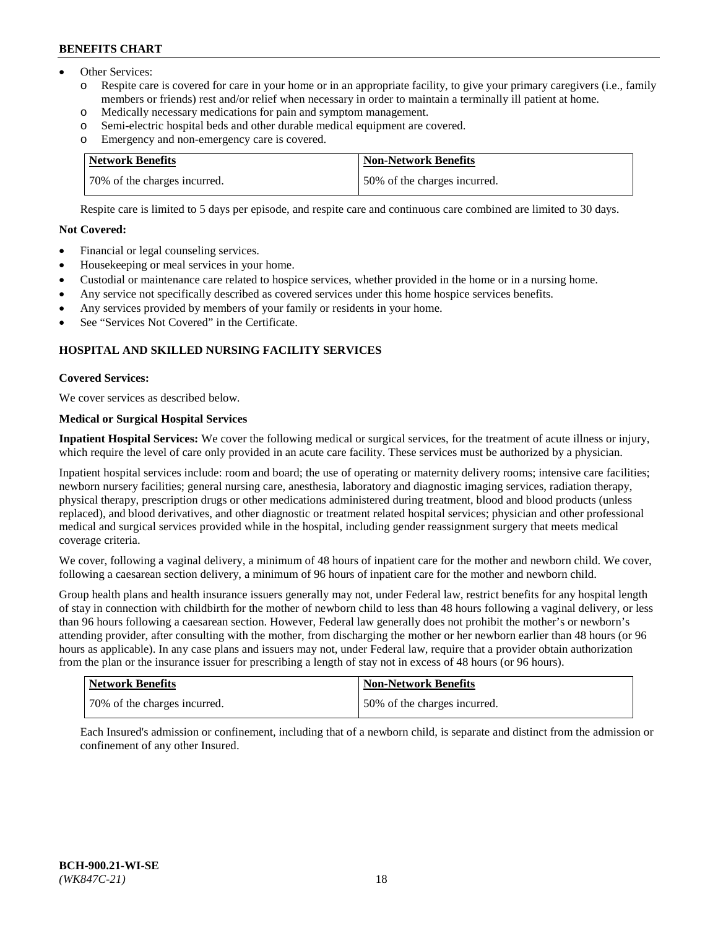- Other Services:
	- Respite care is covered for care in your home or in an appropriate facility, to give your primary caregivers (i.e., family members or friends) rest and/or relief when necessary in order to maintain a terminally ill patient at home.
	- o Medically necessary medications for pain and symptom management.
	- o Semi-electric hospital beds and other durable medical equipment are covered.
	- Emergency and non-emergency care is covered.

| Network Benefits             | Non-Network Benefits         |
|------------------------------|------------------------------|
| 70% of the charges incurred. | 50% of the charges incurred. |

Respite care is limited to 5 days per episode, and respite care and continuous care combined are limited to 30 days.

## **Not Covered:**

- Financial or legal counseling services.
- Housekeeping or meal services in your home.
- Custodial or maintenance care related to hospice services, whether provided in the home or in a nursing home.
- Any service not specifically described as covered services under this home hospice services benefits.
- Any services provided by members of your family or residents in your home.
- See "Services Not Covered" in the Certificate.

# **HOSPITAL AND SKILLED NURSING FACILITY SERVICES**

### **Covered Services:**

We cover services as described below.

# **Medical or Surgical Hospital Services**

**Inpatient Hospital Services:** We cover the following medical or surgical services, for the treatment of acute illness or injury, which require the level of care only provided in an acute care facility. These services must be authorized by a physician.

Inpatient hospital services include: room and board; the use of operating or maternity delivery rooms; intensive care facilities; newborn nursery facilities; general nursing care, anesthesia, laboratory and diagnostic imaging services, radiation therapy, physical therapy, prescription drugs or other medications administered during treatment, blood and blood products (unless replaced), and blood derivatives, and other diagnostic or treatment related hospital services; physician and other professional medical and surgical services provided while in the hospital, including gender reassignment surgery that meets medical coverage criteria.

We cover, following a vaginal delivery, a minimum of 48 hours of inpatient care for the mother and newborn child. We cover, following a caesarean section delivery, a minimum of 96 hours of inpatient care for the mother and newborn child.

Group health plans and health insurance issuers generally may not, under Federal law, restrict benefits for any hospital length of stay in connection with childbirth for the mother of newborn child to less than 48 hours following a vaginal delivery, or less than 96 hours following a caesarean section. However, Federal law generally does not prohibit the mother's or newborn's attending provider, after consulting with the mother, from discharging the mother or her newborn earlier than 48 hours (or 96 hours as applicable). In any case plans and issuers may not, under Federal law, require that a provider obtain authorization from the plan or the insurance issuer for prescribing a length of stay not in excess of 48 hours (or 96 hours).

| <b>Network Benefits</b>      | <b>Non-Network Benefits</b>  |
|------------------------------|------------------------------|
| 70% of the charges incurred. | 50% of the charges incurred. |

Each Insured's admission or confinement, including that of a newborn child, is separate and distinct from the admission or confinement of any other Insured.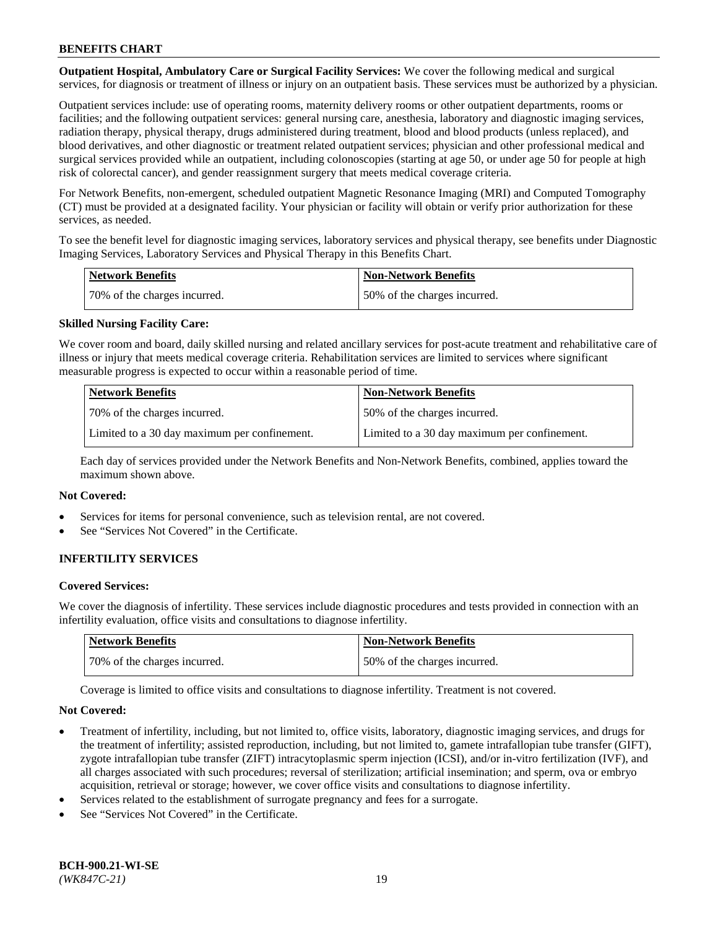**Outpatient Hospital, Ambulatory Care or Surgical Facility Services:** We cover the following medical and surgical services, for diagnosis or treatment of illness or injury on an outpatient basis. These services must be authorized by a physician.

Outpatient services include: use of operating rooms, maternity delivery rooms or other outpatient departments, rooms or facilities; and the following outpatient services: general nursing care, anesthesia, laboratory and diagnostic imaging services, radiation therapy, physical therapy, drugs administered during treatment, blood and blood products (unless replaced), and blood derivatives, and other diagnostic or treatment related outpatient services; physician and other professional medical and surgical services provided while an outpatient, including colonoscopies (starting at age 50, or under age 50 for people at high risk of colorectal cancer), and gender reassignment surgery that meets medical coverage criteria.

For Network Benefits, non-emergent, scheduled outpatient Magnetic Resonance Imaging (MRI) and Computed Tomography (CT) must be provided at a designated facility. Your physician or facility will obtain or verify prior authorization for these services, as needed.

To see the benefit level for diagnostic imaging services, laboratory services and physical therapy, see benefits under Diagnostic Imaging Services, Laboratory Services and Physical Therapy in this Benefits Chart.

| <b>Network Benefits</b>      | <b>Non-Network Benefits</b>  |
|------------------------------|------------------------------|
| 70% of the charges incurred. | 50% of the charges incurred. |

## **Skilled Nursing Facility Care:**

We cover room and board, daily skilled nursing and related ancillary services for post-acute treatment and rehabilitative care of illness or injury that meets medical coverage criteria. Rehabilitation services are limited to services where significant measurable progress is expected to occur within a reasonable period of time.

| <b>Network Benefits</b>                      | <b>Non-Network Benefits</b>                  |
|----------------------------------------------|----------------------------------------------|
| 70% of the charges incurred.                 | 50% of the charges incurred.                 |
| Limited to a 30 day maximum per confinement. | Limited to a 30 day maximum per confinement. |

Each day of services provided under the Network Benefits and Non-Network Benefits, combined, applies toward the maximum shown above.

#### **Not Covered:**

- Services for items for personal convenience, such as television rental, are not covered.
- See "Services Not Covered" in the Certificate.

## **INFERTILITY SERVICES**

#### **Covered Services:**

We cover the diagnosis of infertility. These services include diagnostic procedures and tests provided in connection with an infertility evaluation, office visits and consultations to diagnose infertility.

| <b>Network Benefits</b>      | <b>Non-Network Benefits</b>  |
|------------------------------|------------------------------|
| 70% of the charges incurred. | 50% of the charges incurred. |

Coverage is limited to office visits and consultations to diagnose infertility. Treatment is not covered.

#### **Not Covered:**

- Treatment of infertility, including, but not limited to, office visits, laboratory, diagnostic imaging services, and drugs for the treatment of infertility; assisted reproduction, including, but not limited to, gamete intrafallopian tube transfer (GIFT), zygote intrafallopian tube transfer (ZIFT) intracytoplasmic sperm injection (ICSI), and/or in-vitro fertilization (IVF), and all charges associated with such procedures; reversal of sterilization; artificial insemination; and sperm, ova or embryo acquisition, retrieval or storage; however, we cover office visits and consultations to diagnose infertility.
- Services related to the establishment of surrogate pregnancy and fees for a surrogate.
- See "Services Not Covered" in the Certificate.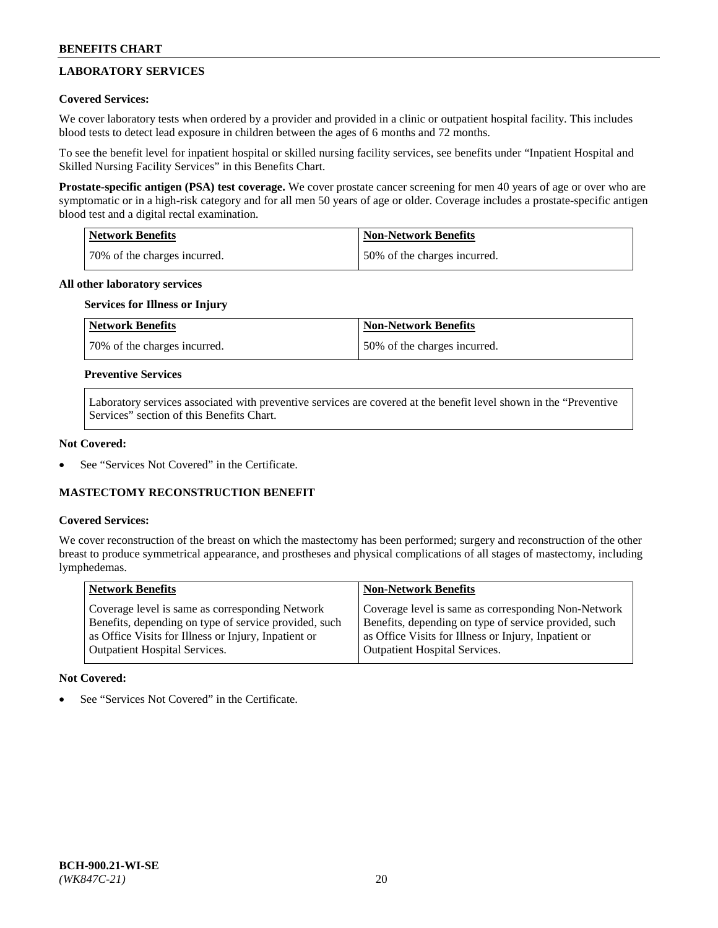# **LABORATORY SERVICES**

## **Covered Services:**

We cover laboratory tests when ordered by a provider and provided in a clinic or outpatient hospital facility. This includes blood tests to detect lead exposure in children between the ages of 6 months and 72 months.

To see the benefit level for inpatient hospital or skilled nursing facility services, see benefits under "Inpatient Hospital and Skilled Nursing Facility Services" in this Benefits Chart.

**Prostate-specific antigen (PSA) test coverage.** We cover prostate cancer screening for men 40 years of age or over who are symptomatic or in a high-risk category and for all men 50 years of age or older. Coverage includes a prostate-specific antigen blood test and a digital rectal examination.

| Network Benefits             | <b>Non-Network Benefits</b>  |
|------------------------------|------------------------------|
| 70% of the charges incurred. | 50% of the charges incurred. |

### **All other laboratory services**

# **Services for Illness or Injury**

| <b>Network Benefits</b>      | Non-Network Benefits         |
|------------------------------|------------------------------|
| 70% of the charges incurred. | 50% of the charges incurred. |

## **Preventive Services**

Laboratory services associated with preventive services are covered at the benefit level shown in the "Preventive Services" section of this Benefits Chart.

#### **Not Covered:**

See "Services Not Covered" in the Certificate.

## **MASTECTOMY RECONSTRUCTION BENEFIT**

#### **Covered Services:**

We cover reconstruction of the breast on which the mastectomy has been performed; surgery and reconstruction of the other breast to produce symmetrical appearance, and prostheses and physical complications of all stages of mastectomy, including lymphedemas.

| <b>Network Benefits</b>                               | <b>Non-Network Benefits</b>                           |
|-------------------------------------------------------|-------------------------------------------------------|
| Coverage level is same as corresponding Network       | Coverage level is same as corresponding Non-Network   |
| Benefits, depending on type of service provided, such | Benefits, depending on type of service provided, such |
| as Office Visits for Illness or Injury, Inpatient or  | as Office Visits for Illness or Injury, Inpatient or  |
| Outpatient Hospital Services.                         | Outpatient Hospital Services.                         |

#### **Not Covered:**

See "Services Not Covered" in the Certificate.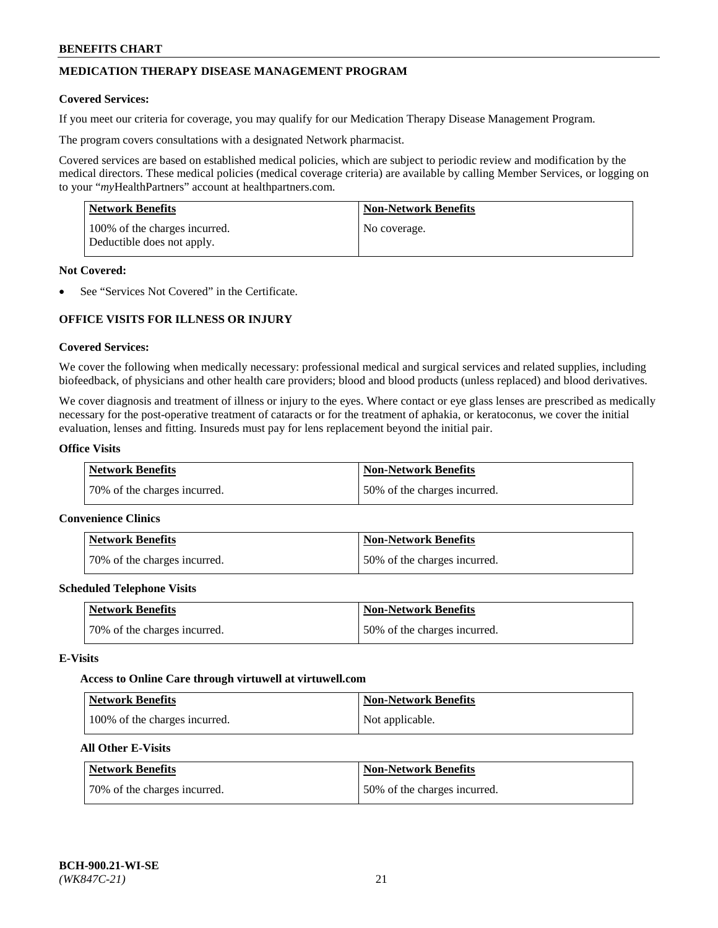# **MEDICATION THERAPY DISEASE MANAGEMENT PROGRAM**

### **Covered Services:**

If you meet our criteria for coverage, you may qualify for our Medication Therapy Disease Management Program.

The program covers consultations with a designated Network pharmacist.

Covered services are based on established medical policies, which are subject to periodic review and modification by the medical directors. These medical policies (medical coverage criteria) are available by calling Member Services, or logging on to your "*my*HealthPartners" account at [healthpartners.com.](http://www.healthpartners.com/)

| Network Benefits                                            | <b>Non-Network Benefits</b> |
|-------------------------------------------------------------|-----------------------------|
| 100% of the charges incurred.<br>Deductible does not apply. | No coverage.                |

### **Not Covered:**

See "Services Not Covered" in the Certificate.

# **OFFICE VISITS FOR ILLNESS OR INJURY**

### **Covered Services:**

We cover the following when medically necessary: professional medical and surgical services and related supplies, including biofeedback, of physicians and other health care providers; blood and blood products (unless replaced) and blood derivatives.

We cover diagnosis and treatment of illness or injury to the eyes. Where contact or eye glass lenses are prescribed as medically necessary for the post-operative treatment of cataracts or for the treatment of aphakia, or keratoconus, we cover the initial evaluation, lenses and fitting. Insureds must pay for lens replacement beyond the initial pair.

# **Office Visits**

| <b>Network Benefits</b>      | <b>Non-Network Benefits</b>  |
|------------------------------|------------------------------|
| 70% of the charges incurred. | 50% of the charges incurred. |

#### **Convenience Clinics**

| Network Benefits             | <b>Non-Network Benefits</b>  |
|------------------------------|------------------------------|
| 70% of the charges incurred. | 50% of the charges incurred. |

#### **Scheduled Telephone Visits**

| <b>Network Benefits</b>      | <b>Non-Network Benefits</b>  |
|------------------------------|------------------------------|
| 70% of the charges incurred. | 50% of the charges incurred. |

#### **E-Visits**

#### **Access to Online Care through virtuwell a[t virtuwell.com](https://www.virtuwell.com/)**

| Network Benefits              | <b>Non-Network Benefits</b> |
|-------------------------------|-----------------------------|
| 100% of the charges incurred. | Not applicable.             |

# **All Other E-Visits**

| Network Benefits             | <b>Non-Network Benefits</b>  |
|------------------------------|------------------------------|
| 70% of the charges incurred. | 50% of the charges incurred. |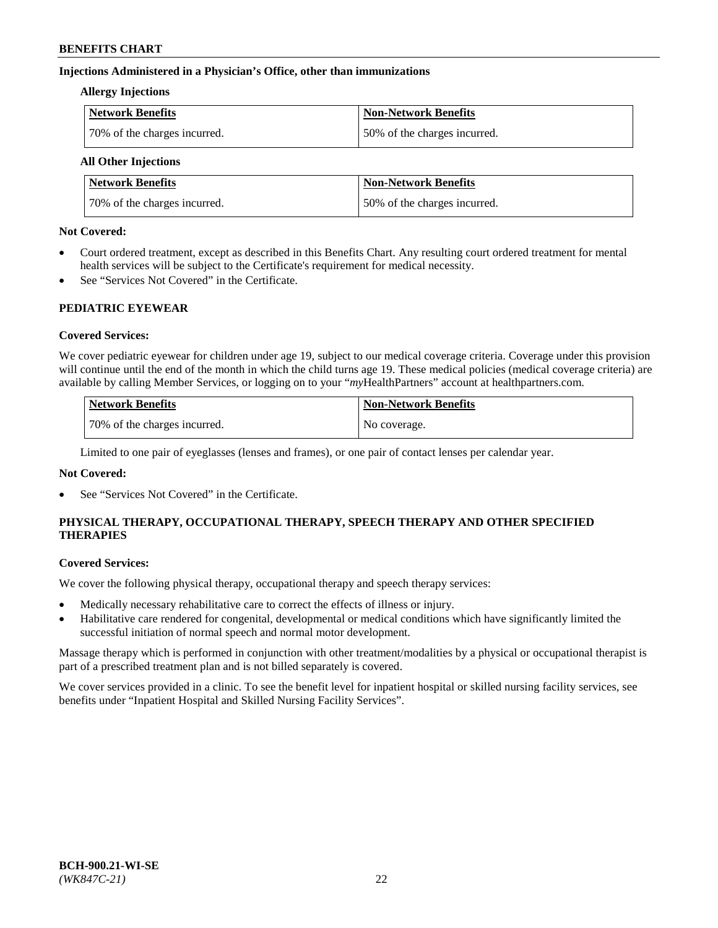## **Injections Administered in a Physician's Office, other than immunizations**

#### **Allergy Injections**

| <b>Network Benefits</b>      | <b>Non-Network Benefits</b>  |
|------------------------------|------------------------------|
| 70% of the charges incurred. | 50% of the charges incurred. |

# **All Other Injections**

| <b>Network Benefits</b>      | <b>Non-Network Benefits</b>  |
|------------------------------|------------------------------|
| 70% of the charges incurred. | 50% of the charges incurred. |

### **Not Covered:**

- Court ordered treatment, except as described in this Benefits Chart. Any resulting court ordered treatment for mental health services will be subject to the Certificate's requirement for medical necessity.
- See "Services Not Covered" in the Certificate.

## **PEDIATRIC EYEWEAR**

## **Covered Services:**

We cover pediatric eyewear for children under age 19, subject to our medical coverage criteria. Coverage under this provision will continue until the end of the month in which the child turns age 19. These medical policies (medical coverage criteria) are available by calling Member Services, or logging on to your "*my*HealthPartners" account a[t healthpartners.com.](https://www.healthpartners.com/hp/index.html)

| Network Benefits             | Non-Network Benefits |
|------------------------------|----------------------|
| 70% of the charges incurred. | No coverage.         |

Limited to one pair of eyeglasses (lenses and frames), or one pair of contact lenses per calendar year.

## **Not Covered:**

See "Services Not Covered" in the Certificate.

# **PHYSICAL THERAPY, OCCUPATIONAL THERAPY, SPEECH THERAPY AND OTHER SPECIFIED THERAPIES**

#### **Covered Services:**

We cover the following physical therapy, occupational therapy and speech therapy services:

- Medically necessary rehabilitative care to correct the effects of illness or injury.
- Habilitative care rendered for congenital, developmental or medical conditions which have significantly limited the successful initiation of normal speech and normal motor development.

Massage therapy which is performed in conjunction with other treatment/modalities by a physical or occupational therapist is part of a prescribed treatment plan and is not billed separately is covered.

We cover services provided in a clinic. To see the benefit level for inpatient hospital or skilled nursing facility services, see benefits under "Inpatient Hospital and Skilled Nursing Facility Services".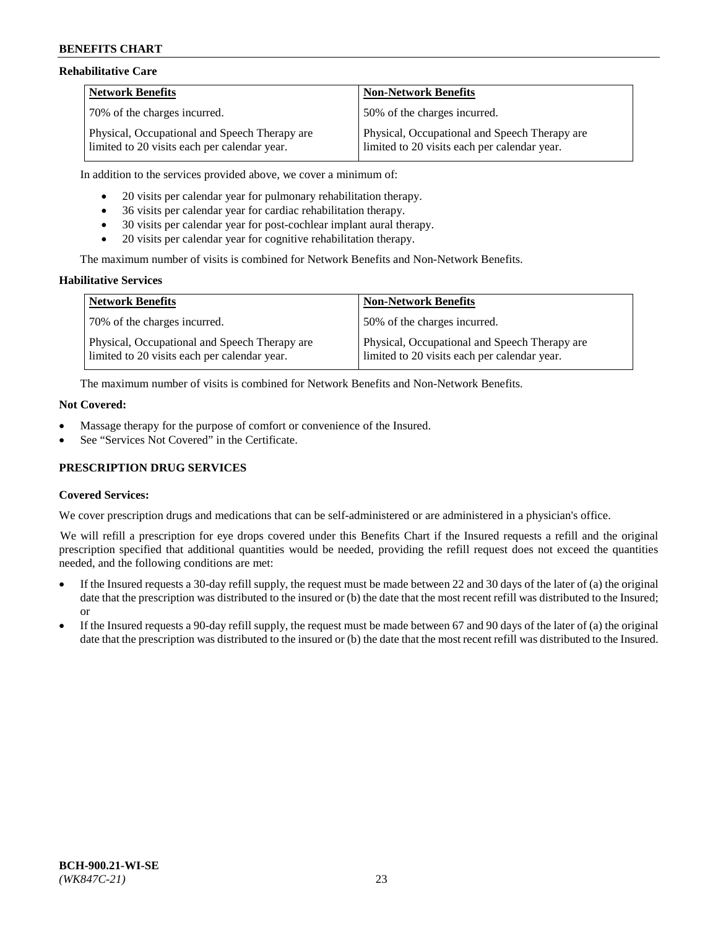### **Rehabilitative Care**

| <b>Network Benefits</b>                                                                       | <b>Non-Network Benefits</b>                                                                   |
|-----------------------------------------------------------------------------------------------|-----------------------------------------------------------------------------------------------|
| 70% of the charges incurred.                                                                  | 150% of the charges incurred.                                                                 |
| Physical, Occupational and Speech Therapy are<br>limited to 20 visits each per calendar year. | Physical, Occupational and Speech Therapy are<br>limited to 20 visits each per calendar year. |

In addition to the services provided above, we cover a minimum of:

- 20 visits per calendar year for pulmonary rehabilitation therapy.
- 36 visits per calendar year for cardiac rehabilitation therapy.
- 30 visits per calendar year for post-cochlear implant aural therapy.
- 20 visits per calendar year for cognitive rehabilitation therapy.

The maximum number of visits is combined for Network Benefits and Non-Network Benefits.

### **Habilitative Services**

| <b>Network Benefits</b>                                                                       | <b>Non-Network Benefits</b>                                                                   |
|-----------------------------------------------------------------------------------------------|-----------------------------------------------------------------------------------------------|
| 70% of the charges incurred.                                                                  | 50% of the charges incurred.                                                                  |
| Physical, Occupational and Speech Therapy are<br>limited to 20 visits each per calendar year. | Physical, Occupational and Speech Therapy are<br>limited to 20 visits each per calendar year. |

The maximum number of visits is combined for Network Benefits and Non-Network Benefits.

#### **Not Covered:**

- Massage therapy for the purpose of comfort or convenience of the Insured.
- See "Services Not Covered" in the Certificate.

## **PRESCRIPTION DRUG SERVICES**

## **Covered Services:**

We cover prescription drugs and medications that can be self-administered or are administered in a physician's office.

We will refill a prescription for eye drops covered under this Benefits Chart if the Insured requests a refill and the original prescription specified that additional quantities would be needed, providing the refill request does not exceed the quantities needed, and the following conditions are met:

- If the Insured requests a 30-day refill supply, the request must be made between 22 and 30 days of the later of (a) the original date that the prescription was distributed to the insured or (b) the date that the most recent refill was distributed to the Insured; or
- If the Insured requests a 90-day refill supply, the request must be made between 67 and 90 days of the later of (a) the original date that the prescription was distributed to the insured or (b) the date that the most recent refill was distributed to the Insured.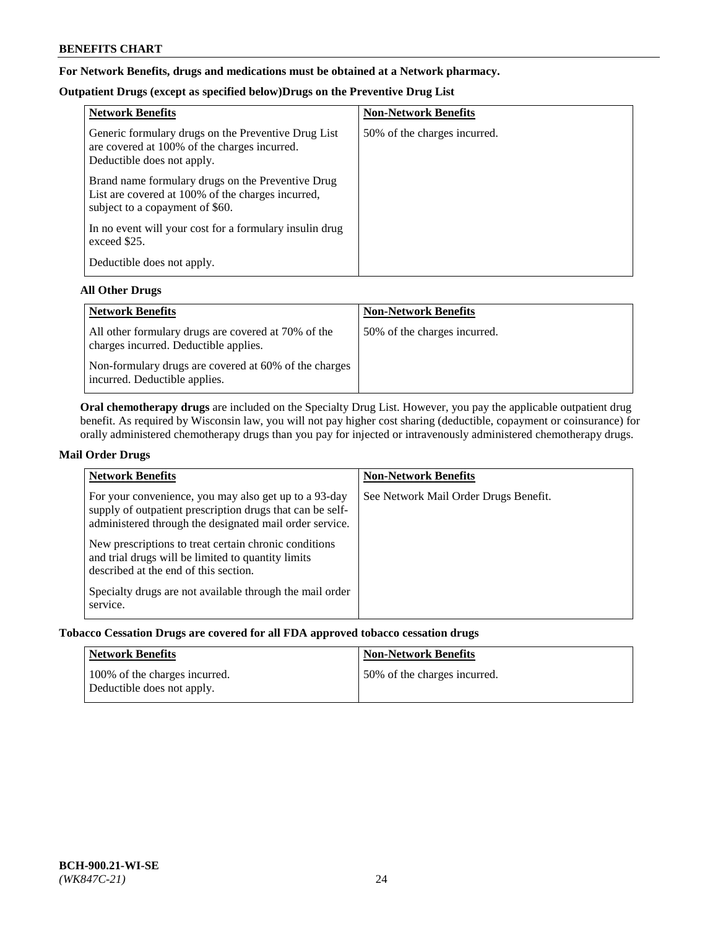# **For Network Benefits, drugs and medications must be obtained at a Network pharmacy.**

# **Outpatient Drugs (except as specified below)Drugs on the Preventive Drug List**

| <b>Network Benefits</b>                                                                                                                   | <b>Non-Network Benefits</b>  |
|-------------------------------------------------------------------------------------------------------------------------------------------|------------------------------|
| Generic formulary drugs on the Preventive Drug List<br>are covered at 100% of the charges incurred.<br>Deductible does not apply.         | 50% of the charges incurred. |
| Brand name formulary drugs on the Preventive Drug<br>List are covered at 100% of the charges incurred,<br>subject to a copayment of \$60. |                              |
| In no event will your cost for a formulary insulin drug<br>exceed \$25.                                                                   |                              |
| Deductible does not apply.                                                                                                                |                              |

## **All Other Drugs**

| <b>Network Benefits</b>                                                                      | <b>Non-Network Benefits</b>  |
|----------------------------------------------------------------------------------------------|------------------------------|
| All other formulary drugs are covered at 70% of the<br>charges incurred. Deductible applies. | 50% of the charges incurred. |
| Non-formulary drugs are covered at 60% of the charges<br>incurred. Deductible applies.       |                              |

**Oral chemotherapy drugs** are included on the Specialty Drug List. However, you pay the applicable outpatient drug benefit. As required by Wisconsin law, you will not pay higher cost sharing (deductible, copayment or coinsurance) for orally administered chemotherapy drugs than you pay for injected or intravenously administered chemotherapy drugs.

## **Mail Order Drugs**

| <b>Network Benefits</b>                                                                                                                                                                                                                                                                                                                                                                                       | <b>Non-Network Benefits</b>           |
|---------------------------------------------------------------------------------------------------------------------------------------------------------------------------------------------------------------------------------------------------------------------------------------------------------------------------------------------------------------------------------------------------------------|---------------------------------------|
| For your convenience, you may also get up to a 93-day<br>supply of outpatient prescription drugs that can be self-<br>administered through the designated mail order service.<br>New prescriptions to treat certain chronic conditions<br>and trial drugs will be limited to quantity limits<br>described at the end of this section.<br>Specialty drugs are not available through the mail order<br>service. | See Network Mail Order Drugs Benefit. |

## **Tobacco Cessation Drugs are covered for all FDA approved tobacco cessation drugs**

| Network Benefits                                            | <b>Non-Network Benefits</b>  |
|-------------------------------------------------------------|------------------------------|
| 100% of the charges incurred.<br>Deductible does not apply. | 50% of the charges incurred. |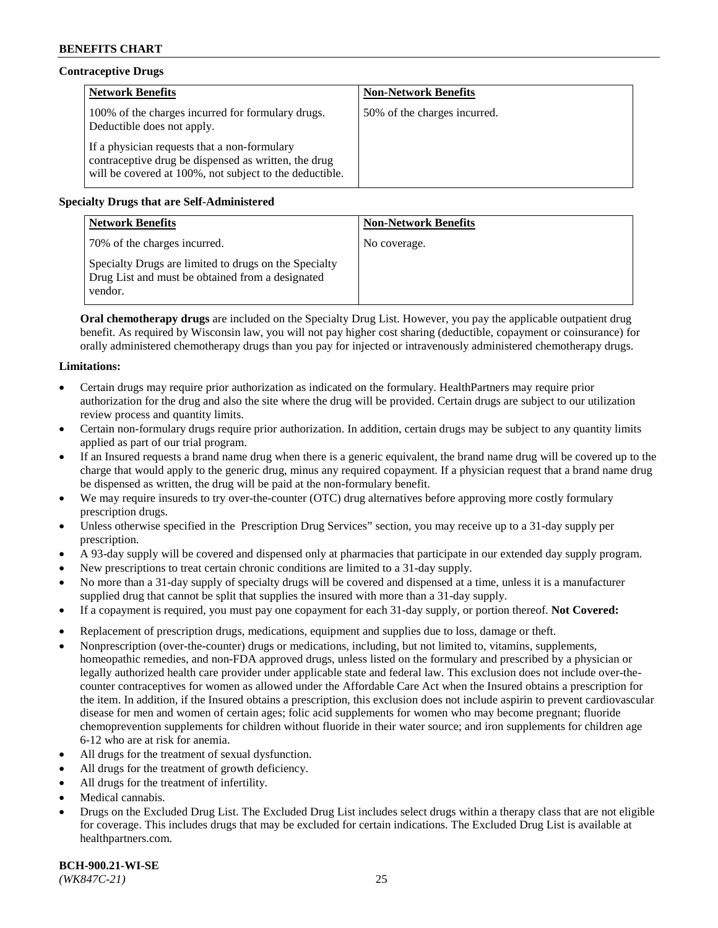# **Contraceptive Drugs**

| <b>Network Benefits</b>                                                                                                                                         | <b>Non-Network Benefits</b>  |
|-----------------------------------------------------------------------------------------------------------------------------------------------------------------|------------------------------|
| 100% of the charges incurred for formulary drugs.<br>Deductible does not apply.                                                                                 | 50% of the charges incurred. |
| If a physician requests that a non-formulary<br>contraceptive drug be dispensed as written, the drug<br>will be covered at 100%, not subject to the deductible. |                              |

# **Specialty Drugs that are Self-Administered**

| <b>Network Benefits</b>                                                                                              | <b>Non-Network Benefits</b> |
|----------------------------------------------------------------------------------------------------------------------|-----------------------------|
| 70% of the charges incurred.                                                                                         | No coverage.                |
| Specialty Drugs are limited to drugs on the Specialty<br>Drug List and must be obtained from a designated<br>vendor. |                             |

**Oral chemotherapy drugs** are included on the Specialty Drug List. However, you pay the applicable outpatient drug benefit. As required by Wisconsin law, you will not pay higher cost sharing (deductible, copayment or coinsurance) for orally administered chemotherapy drugs than you pay for injected or intravenously administered chemotherapy drugs.

## **Limitations:**

- Certain drugs may require prior authorization as indicated on the formulary. HealthPartners may require prior authorization for the drug and also the site where the drug will be provided. Certain drugs are subject to our utilization review process and quantity limits.
- Certain non-formulary drugs require prior authorization. In addition, certain drugs may be subject to any quantity limits applied as part of our trial program.
- If an Insured requests a brand name drug when there is a generic equivalent, the brand name drug will be covered up to the charge that would apply to the generic drug, minus any required copayment. If a physician request that a brand name drug be dispensed as written, the drug will be paid at the non-formulary benefit.
- We may require insureds to try over-the-counter (OTC) drug alternatives before approving more costly formulary prescription drugs.
- Unless otherwise specified in the Prescription Drug Services" section, you may receive up to a 31-day supply per prescription.
- A 93-day supply will be covered and dispensed only at pharmacies that participate in our extended day supply program.
- New prescriptions to treat certain chronic conditions are limited to a 31-day supply.
- No more than a 31-day supply of specialty drugs will be covered and dispensed at a time, unless it is a manufacturer supplied drug that cannot be split that supplies the insured with more than a 31-day supply.
- If a copayment is required, you must pay one copayment for each 31-day supply, or portion thereof. **Not Covered:**
- Replacement of prescription drugs, medications, equipment and supplies due to loss, damage or theft.
- Nonprescription (over-the-counter) drugs or medications, including, but not limited to, vitamins, supplements, homeopathic remedies, and non-FDA approved drugs, unless listed on the formulary and prescribed by a physician or legally authorized health care provider under applicable state and federal law. This exclusion does not include over-thecounter contraceptives for women as allowed under the Affordable Care Act when the Insured obtains a prescription for the item. In addition, if the Insured obtains a prescription, this exclusion does not include aspirin to prevent cardiovascular disease for men and women of certain ages; folic acid supplements for women who may become pregnant; fluoride chemoprevention supplements for children without fluoride in their water source; and iron supplements for children age 6-12 who are at risk for anemia.
- All drugs for the treatment of sexual dysfunction.
- All drugs for the treatment of growth deficiency.
- All drugs for the treatment of infertility.
- Medical cannabis.
- Drugs on the Excluded Drug List. The Excluded Drug List includes select drugs within a therapy class that are not eligible for coverage. This includes drugs that may be excluded for certain indications. The Excluded Drug List is available at [healthpartners.com.](http://www.healthpartners.com/)

**BCH-900.21-WI-SE**  *(WK847C-21)* 25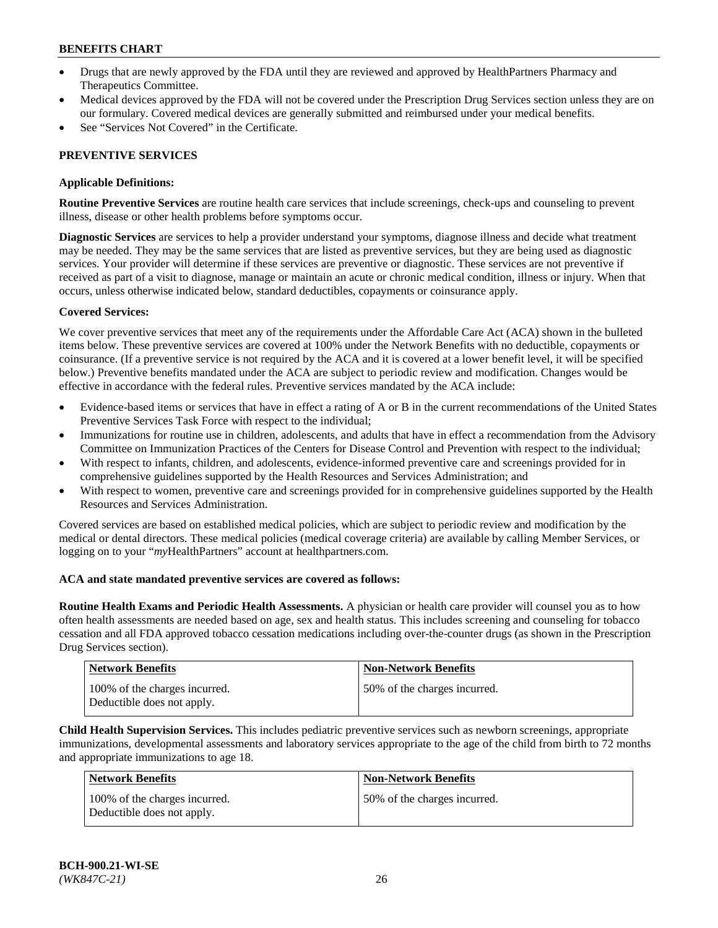- Drugs that are newly approved by the FDA until they are reviewed and approved by HealthPartners Pharmacy and Therapeutics Committee.
- Medical devices approved by the FDA will not be covered under the Prescription Drug Services section unless they are on our formulary. Covered medical devices are generally submitted and reimbursed under your medical benefits.
- See "Services Not Covered" in the Certificate.

# **PREVENTIVE SERVICES**

## **Applicable Definitions:**

**Routine Preventive Services** are routine health care services that include screenings, check-ups and counseling to prevent illness, disease or other health problems before symptoms occur.

**Diagnostic Services** are services to help a provider understand your symptoms, diagnose illness and decide what treatment may be needed. They may be the same services that are listed as preventive services, but they are being used as diagnostic services. Your provider will determine if these services are preventive or diagnostic. These services are not preventive if received as part of a visit to diagnose, manage or maintain an acute or chronic medical condition, illness or injury. When that occurs, unless otherwise indicated below, standard deductibles, copayments or coinsurance apply.

### **Covered Services:**

We cover preventive services that meet any of the requirements under the Affordable Care Act (ACA) shown in the bulleted items below. These preventive services are covered at 100% under the Network Benefits with no deductible, copayments or coinsurance. (If a preventive service is not required by the ACA and it is covered at a lower benefit level, it will be specified below.) Preventive benefits mandated under the ACA are subject to periodic review and modification. Changes would be effective in accordance with the federal rules. Preventive services mandated by the ACA include:

- Evidence-based items or services that have in effect a rating of A or B in the current recommendations of the United States Preventive Services Task Force with respect to the individual;
- Immunizations for routine use in children, adolescents, and adults that have in effect a recommendation from the Advisory Committee on Immunization Practices of the Centers for Disease Control and Prevention with respect to the individual;
- With respect to infants, children, and adolescents, evidence-informed preventive care and screenings provided for in comprehensive guidelines supported by the Health Resources and Services Administration; and
- With respect to women, preventive care and screenings provided for in comprehensive guidelines supported by the Health Resources and Services Administration.

Covered services are based on established medical policies, which are subject to periodic review and modification by the medical or dental directors. These medical policies (medical coverage criteria) are available by calling Member Services, or logging on to your "*my*HealthPartners" account at [healthpartners.com.](https://www.healthpartners.com/hp/index.html)

## **ACA and state mandated preventive services are covered as follows:**

**Routine Health Exams and Periodic Health Assessments.** A physician or health care provider will counsel you as to how often health assessments are needed based on age, sex and health status. This includes screening and counseling for tobacco cessation and all FDA approved tobacco cessation medications including over-the-counter drugs (as shown in the Prescription Drug Services section).

| <b>Network Benefits</b>                                     | <b>Non-Network Benefits</b>  |
|-------------------------------------------------------------|------------------------------|
| 100% of the charges incurred.<br>Deductible does not apply. | 50% of the charges incurred. |

**Child Health Supervision Services.** This includes pediatric preventive services such as newborn screenings, appropriate immunizations, developmental assessments and laboratory services appropriate to the age of the child from birth to 72 months and appropriate immunizations to age 18.

| Network Benefits                                            | <b>Non-Network Benefits</b>  |
|-------------------------------------------------------------|------------------------------|
| 100% of the charges incurred.<br>Deductible does not apply. | 50% of the charges incurred. |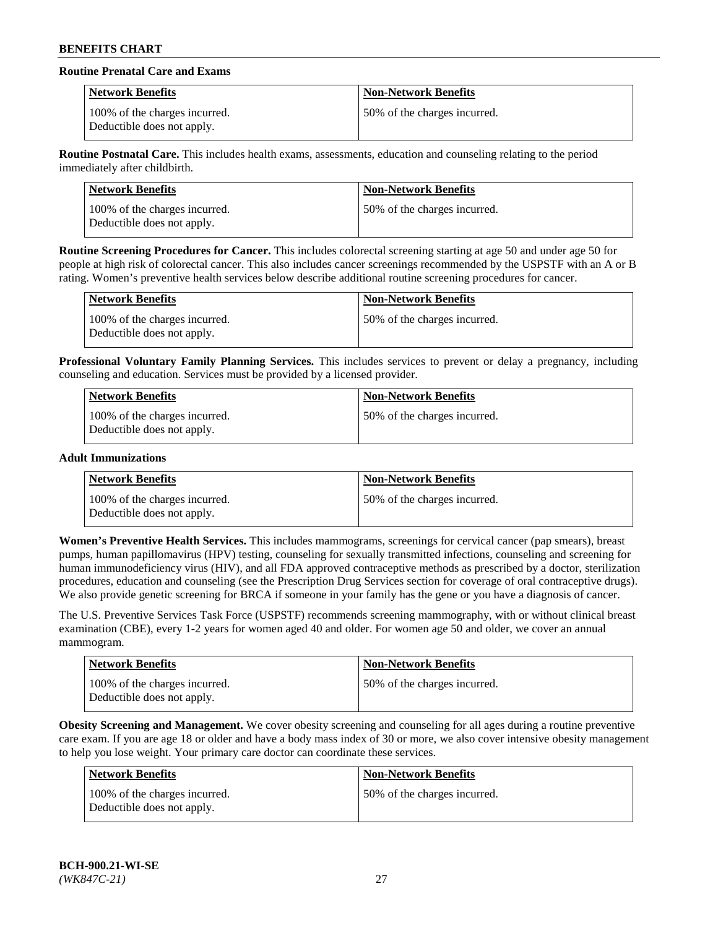# **Routine Prenatal Care and Exams**

| <b>Network Benefits</b>                                     | <b>Non-Network Benefits</b>  |
|-------------------------------------------------------------|------------------------------|
| 100% of the charges incurred.<br>Deductible does not apply. | 50% of the charges incurred. |

**Routine Postnatal Care.** This includes health exams, assessments, education and counseling relating to the period immediately after childbirth.

| Network Benefits                                            | <b>Non-Network Benefits</b>   |
|-------------------------------------------------------------|-------------------------------|
| 100% of the charges incurred.<br>Deductible does not apply. | 150% of the charges incurred. |

**Routine Screening Procedures for Cancer.** This includes colorectal screening starting at age 50 and under age 50 for people at high risk of colorectal cancer. This also includes cancer screenings recommended by the USPSTF with an A or B rating. Women's preventive health services below describe additional routine screening procedures for cancer.

| <b>Network Benefits</b>                                     | <b>Non-Network Benefits</b>  |
|-------------------------------------------------------------|------------------------------|
| 100% of the charges incurred.<br>Deductible does not apply. | 50% of the charges incurred. |

**Professional Voluntary Family Planning Services.** This includes services to prevent or delay a pregnancy, including counseling and education. Services must be provided by a licensed provider.

| Network Benefits                                            | <b>Non-Network Benefits</b>  |
|-------------------------------------------------------------|------------------------------|
| 100% of the charges incurred.<br>Deductible does not apply. | 50% of the charges incurred. |

### **Adult Immunizations**

| Network Benefits                                            | <b>Non-Network Benefits</b>  |
|-------------------------------------------------------------|------------------------------|
| 100% of the charges incurred.<br>Deductible does not apply. | 50% of the charges incurred. |

**Women's Preventive Health Services.** This includes mammograms, screenings for cervical cancer (pap smears), breast pumps, human papillomavirus (HPV) testing, counseling for sexually transmitted infections, counseling and screening for human immunodeficiency virus (HIV), and all FDA approved contraceptive methods as prescribed by a doctor, sterilization procedures, education and counseling (see the Prescription Drug Services section for coverage of oral contraceptive drugs). We also provide genetic screening for BRCA if someone in your family has the gene or you have a diagnosis of cancer.

The U.S. Preventive Services Task Force (USPSTF) recommends screening mammography, with or without clinical breast examination (CBE), every 1-2 years for women aged 40 and older. For women age 50 and older, we cover an annual mammogram.

| Network Benefits                                            | <b>Non-Network Benefits</b>  |
|-------------------------------------------------------------|------------------------------|
| 100% of the charges incurred.<br>Deductible does not apply. | 50% of the charges incurred. |

**Obesity Screening and Management.** We cover obesity screening and counseling for all ages during a routine preventive care exam. If you are age 18 or older and have a body mass index of 30 or more, we also cover intensive obesity management to help you lose weight. Your primary care doctor can coordinate these services.

| Network Benefits                                            | <b>Non-Network Benefits</b>  |
|-------------------------------------------------------------|------------------------------|
| 100% of the charges incurred.<br>Deductible does not apply. | 50% of the charges incurred. |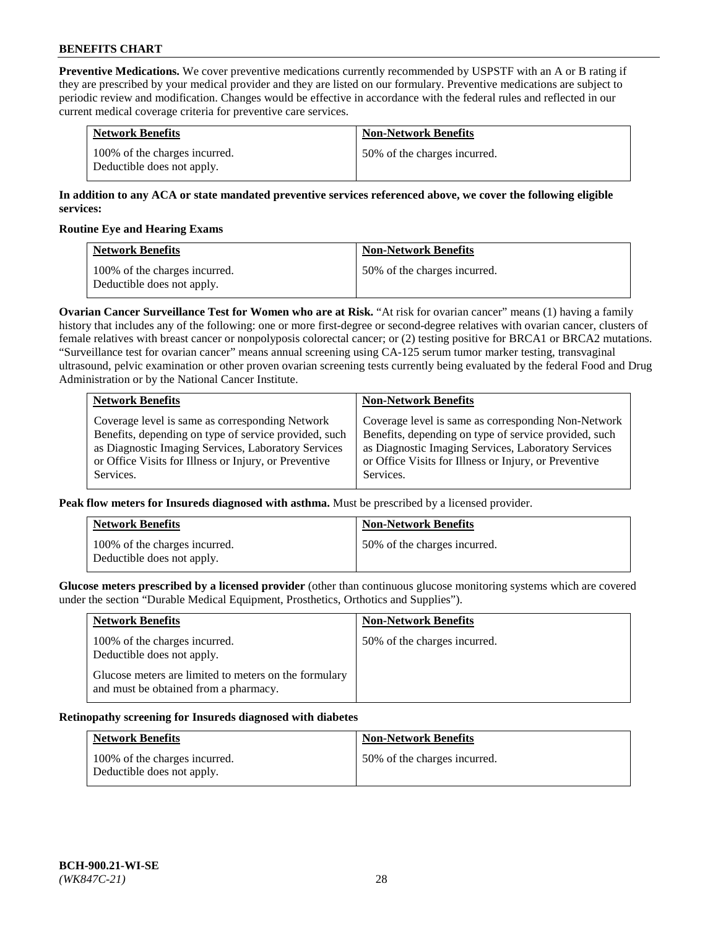**Preventive Medications.** We cover preventive medications currently recommended by USPSTF with an A or B rating if they are prescribed by your medical provider and they are listed on our formulary. Preventive medications are subject to periodic review and modification. Changes would be effective in accordance with the federal rules and reflected in our current medical coverage criteria for preventive care services.

| <b>Network Benefits</b>                                     | <b>Non-Network Benefits</b>  |
|-------------------------------------------------------------|------------------------------|
| 100% of the charges incurred.<br>Deductible does not apply. | 50% of the charges incurred. |

## **In addition to any ACA or state mandated preventive services referenced above, we cover the following eligible services:**

### **Routine Eye and Hearing Exams**

| <b>Network Benefits</b>                                     | <b>Non-Network Benefits</b>  |
|-------------------------------------------------------------|------------------------------|
| 100% of the charges incurred.<br>Deductible does not apply. | 50% of the charges incurred. |

**Ovarian Cancer Surveillance Test for Women who are at Risk.** "At risk for ovarian cancer" means (1) having a family history that includes any of the following: one or more first-degree or second-degree relatives with ovarian cancer, clusters of female relatives with breast cancer or nonpolyposis colorectal cancer; or (2) testing positive for BRCA1 or BRCA2 mutations. "Surveillance test for ovarian cancer" means annual screening using CA-125 serum tumor marker testing, transvaginal ultrasound, pelvic examination or other proven ovarian screening tests currently being evaluated by the federal Food and Drug Administration or by the National Cancer Institute.

| <b>Network Benefits</b>                               | <b>Non-Network Benefits</b>                           |
|-------------------------------------------------------|-------------------------------------------------------|
| Coverage level is same as corresponding Network       | Coverage level is same as corresponding Non-Network   |
| Benefits, depending on type of service provided, such | Benefits, depending on type of service provided, such |
| as Diagnostic Imaging Services, Laboratory Services   | as Diagnostic Imaging Services, Laboratory Services   |
| or Office Visits for Illness or Injury, or Preventive | or Office Visits for Illness or Injury, or Preventive |
| Services.                                             | Services.                                             |

**Peak flow meters for Insureds diagnosed with asthma.** Must be prescribed by a licensed provider.

| <b>Network Benefits</b>                                     | <b>Non-Network Benefits</b>  |
|-------------------------------------------------------------|------------------------------|
| 100% of the charges incurred.<br>Deductible does not apply. | 50% of the charges incurred. |

**Glucose meters prescribed by a licensed provider** (other than continuous glucose monitoring systems which are covered under the section "Durable Medical Equipment, Prosthetics, Orthotics and Supplies").

| <b>Network Benefits</b>                                                                        | <b>Non-Network Benefits</b>  |
|------------------------------------------------------------------------------------------------|------------------------------|
| 100% of the charges incurred.<br>Deductible does not apply.                                    | 50% of the charges incurred. |
| Glucose meters are limited to meters on the formulary<br>and must be obtained from a pharmacy. |                              |

#### **Retinopathy screening for Insureds diagnosed with diabetes**

| <b>Network Benefits</b>                                     | <b>Non-Network Benefits</b>  |
|-------------------------------------------------------------|------------------------------|
| 100% of the charges incurred.<br>Deductible does not apply. | 50% of the charges incurred. |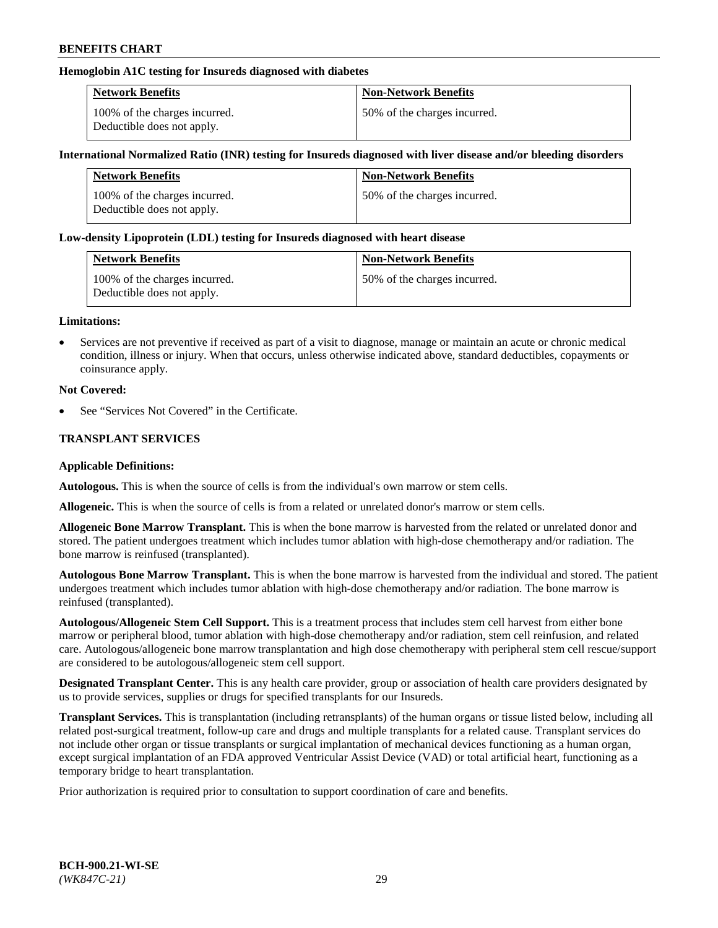## **Hemoglobin A1C testing for Insureds diagnosed with diabetes**

| <b>Network Benefits</b>                                     | <b>Non-Network Benefits</b>  |
|-------------------------------------------------------------|------------------------------|
| 100% of the charges incurred.<br>Deductible does not apply. | 50% of the charges incurred. |

### **International Normalized Ratio (INR) testing for Insureds diagnosed with liver disease and/or bleeding disorders**

| <b>Network Benefits</b>                                     | <b>Non-Network Benefits</b>  |
|-------------------------------------------------------------|------------------------------|
| 100% of the charges incurred.<br>Deductible does not apply. | 50% of the charges incurred. |

### **Low-density Lipoprotein (LDL) testing for Insureds diagnosed with heart disease**

| <b>Network Benefits</b>                                     | <b>Non-Network Benefits</b>  |
|-------------------------------------------------------------|------------------------------|
| 100% of the charges incurred.<br>Deductible does not apply. | 50% of the charges incurred. |

#### **Limitations:**

• Services are not preventive if received as part of a visit to diagnose, manage or maintain an acute or chronic medical condition, illness or injury. When that occurs, unless otherwise indicated above, standard deductibles, copayments or coinsurance apply.

### **Not Covered:**

See "Services Not Covered" in the Certificate.

## **TRANSPLANT SERVICES**

#### **Applicable Definitions:**

**Autologous.** This is when the source of cells is from the individual's own marrow or stem cells.

**Allogeneic.** This is when the source of cells is from a related or unrelated donor's marrow or stem cells.

**Allogeneic Bone Marrow Transplant.** This is when the bone marrow is harvested from the related or unrelated donor and stored. The patient undergoes treatment which includes tumor ablation with high-dose chemotherapy and/or radiation. The bone marrow is reinfused (transplanted).

**Autologous Bone Marrow Transplant.** This is when the bone marrow is harvested from the individual and stored. The patient undergoes treatment which includes tumor ablation with high-dose chemotherapy and/or radiation. The bone marrow is reinfused (transplanted).

**Autologous/Allogeneic Stem Cell Support.** This is a treatment process that includes stem cell harvest from either bone marrow or peripheral blood, tumor ablation with high-dose chemotherapy and/or radiation, stem cell reinfusion, and related care. Autologous/allogeneic bone marrow transplantation and high dose chemotherapy with peripheral stem cell rescue/support are considered to be autologous/allogeneic stem cell support.

**Designated Transplant Center.** This is any health care provider, group or association of health care providers designated by us to provide services, supplies or drugs for specified transplants for our Insureds.

**Transplant Services.** This is transplantation (including retransplants) of the human organs or tissue listed below, including all related post-surgical treatment, follow-up care and drugs and multiple transplants for a related cause. Transplant services do not include other organ or tissue transplants or surgical implantation of mechanical devices functioning as a human organ, except surgical implantation of an FDA approved Ventricular Assist Device (VAD) or total artificial heart, functioning as a temporary bridge to heart transplantation.

Prior authorization is required prior to consultation to support coordination of care and benefits.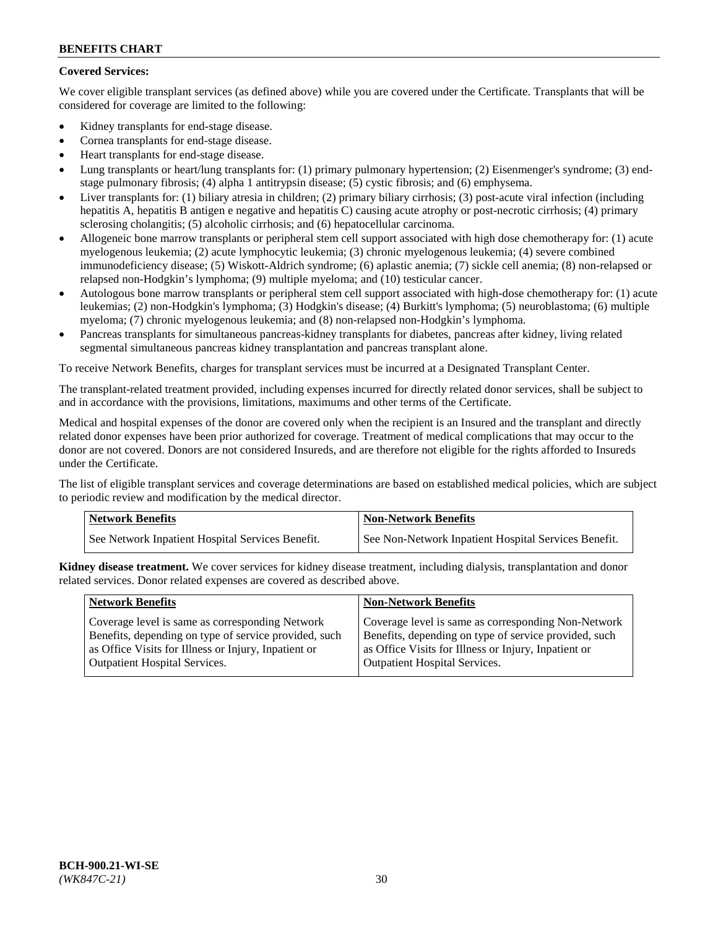# **Covered Services:**

We cover eligible transplant services (as defined above) while you are covered under the Certificate. Transplants that will be considered for coverage are limited to the following:

- Kidney transplants for end-stage disease.
- Cornea transplants for end-stage disease.
- Heart transplants for end-stage disease.
- Lung transplants or heart/lung transplants for: (1) primary pulmonary hypertension; (2) Eisenmenger's syndrome; (3) endstage pulmonary fibrosis; (4) alpha 1 antitrypsin disease; (5) cystic fibrosis; and (6) emphysema.
- Liver transplants for: (1) biliary atresia in children; (2) primary biliary cirrhosis; (3) post-acute viral infection (including hepatitis A, hepatitis B antigen e negative and hepatitis C) causing acute atrophy or post-necrotic cirrhosis; (4) primary sclerosing cholangitis; (5) alcoholic cirrhosis; and (6) hepatocellular carcinoma.
- Allogeneic bone marrow transplants or peripheral stem cell support associated with high dose chemotherapy for: (1) acute myelogenous leukemia; (2) acute lymphocytic leukemia; (3) chronic myelogenous leukemia; (4) severe combined immunodeficiency disease; (5) Wiskott-Aldrich syndrome; (6) aplastic anemia; (7) sickle cell anemia; (8) non-relapsed or relapsed non-Hodgkin's lymphoma; (9) multiple myeloma; and (10) testicular cancer.
- Autologous bone marrow transplants or peripheral stem cell support associated with high-dose chemotherapy for: (1) acute leukemias; (2) non-Hodgkin's lymphoma; (3) Hodgkin's disease; (4) Burkitt's lymphoma; (5) neuroblastoma; (6) multiple myeloma; (7) chronic myelogenous leukemia; and (8) non-relapsed non-Hodgkin's lymphoma.
- Pancreas transplants for simultaneous pancreas-kidney transplants for diabetes, pancreas after kidney, living related segmental simultaneous pancreas kidney transplantation and pancreas transplant alone.

To receive Network Benefits, charges for transplant services must be incurred at a Designated Transplant Center.

The transplant-related treatment provided, including expenses incurred for directly related donor services, shall be subject to and in accordance with the provisions, limitations, maximums and other terms of the Certificate.

Medical and hospital expenses of the donor are covered only when the recipient is an Insured and the transplant and directly related donor expenses have been prior authorized for coverage. Treatment of medical complications that may occur to the donor are not covered. Donors are not considered Insureds, and are therefore not eligible for the rights afforded to Insureds under the Certificate.

The list of eligible transplant services and coverage determinations are based on established medical policies, which are subject to periodic review and modification by the medical director.

| <b>Network Benefits</b>                          | Non-Network Benefits                                 |
|--------------------------------------------------|------------------------------------------------------|
| See Network Inpatient Hospital Services Benefit. | See Non-Network Inpatient Hospital Services Benefit. |

**Kidney disease treatment.** We cover services for kidney disease treatment, including dialysis, transplantation and donor related services. Donor related expenses are covered as described above.

| <b>Network Benefits</b>                               | <b>Non-Network Benefits</b>                           |
|-------------------------------------------------------|-------------------------------------------------------|
| Coverage level is same as corresponding Network       | Coverage level is same as corresponding Non-Network   |
| Benefits, depending on type of service provided, such | Benefits, depending on type of service provided, such |
| as Office Visits for Illness or Injury, Inpatient or  | as Office Visits for Illness or Injury, Inpatient or  |
| <b>Outpatient Hospital Services.</b>                  | Outpatient Hospital Services.                         |